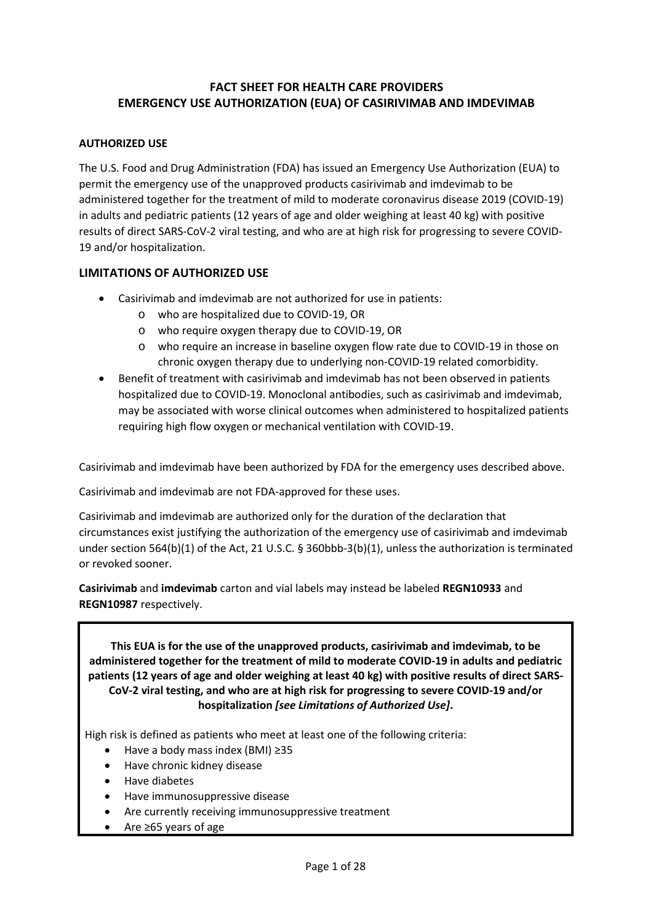## **FACT SHEET FOR HEALTH CARE PROVIDERS EMERGENCY USE AUTHORIZATION (EUA) OF CASIRIVIMAB AND IMDEVIMAB**

#### **AUTHORIZED USE**

 permit the emergency use of the unapproved products casirivimab and imdevimab to be administered together for the treatment of mild to moderate coronavirus disease 2019 (COVID-19) The U.S. Food and Drug Administration (FDA) has issued an Emergency Use Authorization (EUA) to in adults and pediatric patients (12 years of age and older weighing at least 40 kg) with positive results of direct SARS-CoV-2 viral testing, and who are at high risk for progressing to severe COVID-19 and/or hospitalization.

#### **LIMITATIONS OF AUTHORIZED USE**

- Casirivimab and imdevimab are not authorized for use in patients:
	- o who are hospitalized due to COVID-19, OR
	- o who require oxygen therapy due to COVID-19, OR
	- o who require an increase in baseline oxygen flow rate due to COVID-19 in those on chronic oxygen therapy due to underlying non-COVID-19 related comorbidity.
- may be associated with worse clinical outcomes when administered to hospitalized patients requiring high flow oxygen or mechanical ventilation with COVID-19. • Benefit of treatment with casirivimab and imdevimab has not been observed in patients hospitalized due to COVID-19. Monoclonal antibodies, such as casirivimab and imdevimab,

Casirivimab and imdevimab have been authorized by FDA for the emergency uses described above.

Casirivimab and imdevimab are not FDA-approved for these uses.

 Casirivimab and imdevimab are authorized only for the duration of the declaration that circumstances exist justifying the authorization of the emergency use of casirivimab and imdevimab under section 564(b)(1) of the Act, 21 U.S.C. § 360bbb-3(b)(1), unless the authorization is terminated or revoked sooner.

 **Casirivimab** and **imdevimab** carton and vial labels may instead be labeled **REGN10933** and **REGN10987** respectively.

 **This EUA is for the use of the unapproved products, casirivimab and imdevimab, to be patients (12 years of age and older weighing at least 40 kg) with positive results of direct SARSadministered together for the treatment of mild to moderate COVID-19 in adults and pediatric CoV-2 viral testing, and who are at high risk for progressing to severe COVID-19 and/or hospitalization** *[see Limitations of Authorized Use]***.** 

High risk is defined as patients who meet at least one of the following criteria:

- Have a body mass index (BMI) ≥35
- Have chronic kidney disease
- Have diabetes
- Have immunosuppressive disease
- Are currently receiving immunosuppressive treatment
- Are ≥65 years of age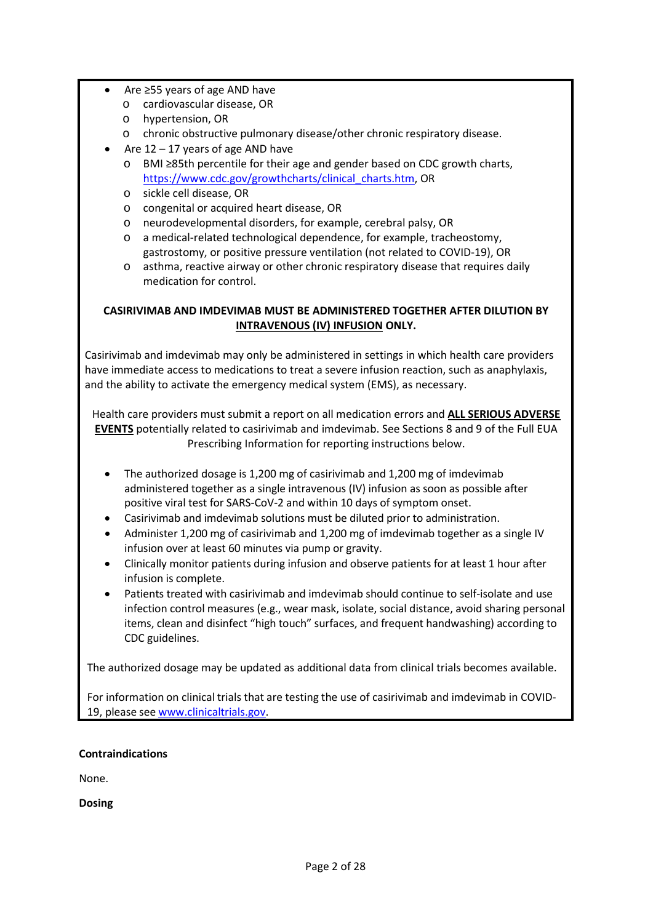- Are ≥55 years of age AND have
	- o cardiovascular disease, OR
	- o hypertension, OR
	- o chronic obstructive pulmonary disease/other chronic respiratory disease.
- Are  $12 17$  years of age AND have
	- [https://www.cdc.gov/growthcharts/clinical\\_charts.htm,](https://www.cdc.gov/growthcharts/clinical_charts.htm) OR o BMI ≥85th percentile for their age and gender based on CDC growth charts,
	- o sickle cell disease, OR
	- o congenital or acquired heart disease, OR
	- o neurodevelopmental disorders, for example, cerebral palsy, OR
	- gastrostomy, or positive pressure ventilation (not related to COVID-19), OR o a medical-related technological dependence, for example, tracheostomy,
	- o asthma, reactive airway or other chronic respiratory disease that requires daily medication for control.

### **INTRAVENOUS (IV) INFUSION ONLY. CASIRIVIMAB AND IMDEVIMAB MUST BE ADMINISTERED TOGETHER AFTER DILUTION BY**

 have immediate access to medications to treat a severe infusion reaction, such as anaphylaxis, Casirivimab and imdevimab may only be administered in settings in which health care providers and the ability to activate the emergency medical system (EMS), as necessary.

 Health care providers must submit a report on all medication errors and **ALL SERIOUS ADVERSE EVENTS** potentially related to casirivimab and imdevimab. See Sections 8 and 9 of the Full EUA Prescribing Information for reporting instructions below.

- • The authorized dosage is 1,200 mg of casirivimab and 1,200 mg of imdevimab administered together as a single intravenous (IV) infusion as soon as possible after positive viral test for SARS-CoV-2 and within 10 days of symptom onset.
- Casirivimab and imdevimab solutions must be diluted prior to administration.
- Administer 1,200 mg of casirivimab and 1,200 mg of imdevimab together as a single IV infusion over at least 60 minutes via pump or gravity.
- • Clinically monitor patients during infusion and observe patients for at least 1 hour after infusion is complete.
- infection control measures (e.g., wear mask, isolate, social distance, avoid sharing personal CDC guidelines. • Patients treated with casirivimab and imdevimab should continue to self-isolate and use items, clean and disinfect "high touch" surfaces, and frequent handwashing) according to

The authorized dosage may be updated as additional data from clinical trials becomes available.

 For information on clinical trials that are testing the use of casirivimab and imdevimab in COVID19, please se[e www.clinicaltrials.gov.](http://www.clinicaltrials.gov/)

#### **Contraindications**

None.

**Dosing**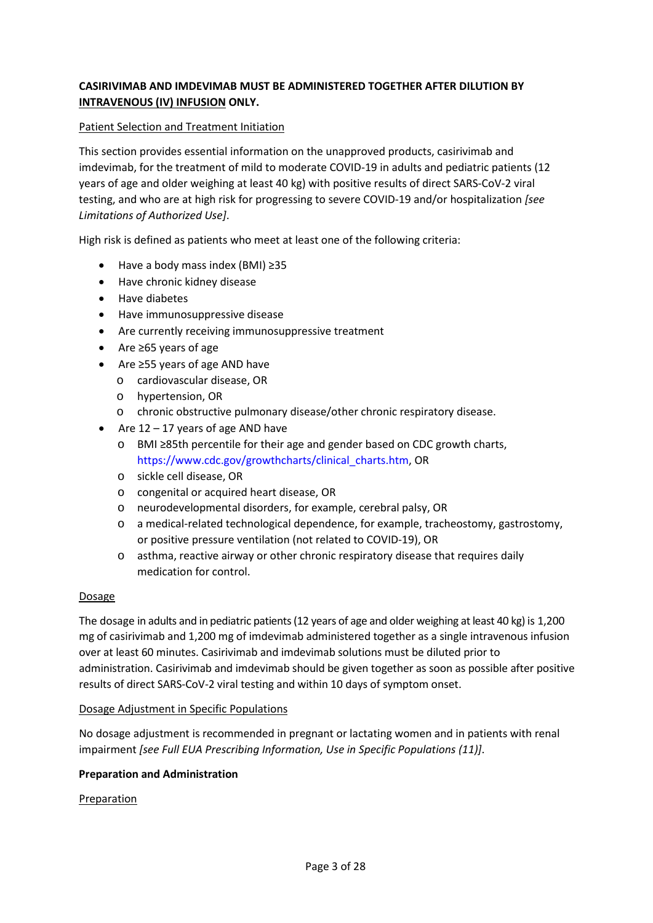## **INTRAVENOUS (IV) INFUSION ONLY. CASIRIVIMAB AND IMDEVIMAB MUST BE ADMINISTERED TOGETHER AFTER DILUTION BY**

#### Patient Selection and Treatment Initiation

 years of age and older weighing at least 40 kg) with positive results of direct SARS-CoV-2 viral testing, and who are at high risk for progressing to severe COVID-19 and/or hospitalization *[see*  This section provides essential information on the unapproved products, casirivimab and imdevimab, for the treatment of mild to moderate COVID-19 in adults and pediatric patients (12 *Limitations of Authorized Use]*.

High risk is defined as patients who meet at least one of the following criteria:

- Have a body mass index (BMI) ≥35
- Have chronic kidney disease
- Have diabetes
- Have immunosuppressive disease
- Are currently receiving immunosuppressive treatment
- Are ≥65 years of age
- Are ≥55 years of age AND have
	- o cardiovascular disease, OR
	- o hypertension, OR
	- o chronic obstructive pulmonary disease/other chronic respiratory disease.
- Are  $12 17$  years of age AND have
	- o BMI ≥85th percentile for their age and gender based on CDC growth charts, [https://www.cdc.gov/growthcharts/clinical\\_charts.htm,](https://www.cdc.gov/growthcharts/clinical_charts.htm) OR
	- o sickle cell disease, OR
	- o congenital or acquired heart disease, OR
	- o neurodevelopmental disorders, for example, cerebral palsy, OR
	- or positive pressure ventilation (not related to COVID-19), OR o a medical-related technological dependence, for example, tracheostomy, gastrostomy,
	- o asthma, reactive airway or other chronic respiratory disease that requires daily medication for control.

#### Dosage

 The dosage in adults and in pediatric patients (12 years of age and older weighing at least 40 kg) is 1,200 mg of casirivimab and 1,200 mg of imdevimab administered together as a single intravenous infusion over at least 60 minutes. Casirivimab and imdevimab solutions must be diluted prior to administration. Casirivimab and imdevimab should be given together as soon as possible after positive results of direct SARS-CoV-2 viral testing and within 10 days of symptom onset.

#### Dosage Adjustment in Specific Populations

 No dosage adjustment is recommended in pregnant or lactating women and in patients with renal impairment *[see Full EUA Prescribing Information, Use in Specific Populations (11)]*.

#### **Preparation and Administration**

#### Preparation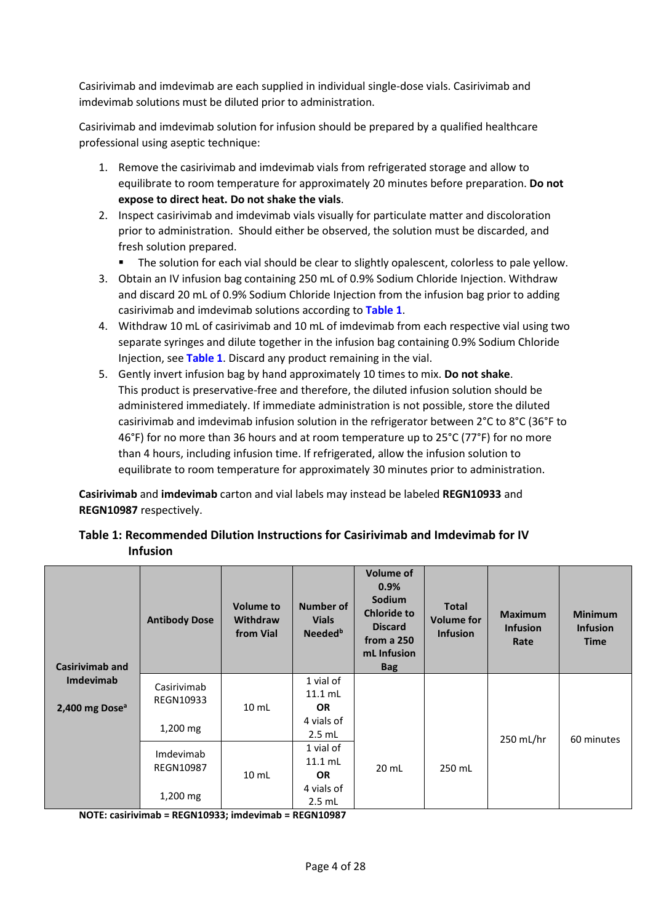Casirivimab and imdevimab are each supplied in individual single-dose vials. Casirivimab and imdevimab solutions must be diluted prior to administration.

Casirivimab and imdevimab solution for infusion should be prepared by a qualified healthcare professional using aseptic technique:

- 1. Remove the casirivimab and imdevimab vials from refrigerated storage and allow to equilibrate to room temperature for approximately 20 minutes before preparation. **Do not expose to direct heat. Do not shake the vials**.
- 2. Inspect casirivimab and imdevimab vials visually for particulate matter and discoloration prior to administration. Should either be observed, the solution must be discarded, and fresh solution prepared.
	- The solution for each vial should be clear to slightly opalescent, colorless to pale yellow.
- 3. Obtain an IV infusion bag containing 250 mL of 0.9% Sodium Chloride Injection. Withdraw and discard 20 mL of 0.9% Sodium Chloride Injection from the infusion bag prior to adding casirivimab and imdevimab solutions according to Table 1.
- 4[.](#page-3-0) Withdraw 10 mL of casirivimab and 10 mL of imdevimab from each respective vial using two separate syringes and dilute together in the infusion bag containing 0.9% Sodium Chloride Injection, see **[Table 1](#page-3-0)**. Discard any product remaining in the vial.
- 5. Gently invert infusion bag by hand approximately 10 times to mix. **Do not shake**. administered immediately. If immediate administration is not possible, store the diluted casirivimab and imdevimab infusion solution in the refrigerator between 2°C to 8°C (36°F to 46°F) for no more than 36 hours and at room temperature up to 25°C (77°F) for no more than 4 hours, including infusion time. If refrigerated, allow the infusion solution to This product is preservative-free and therefore, the diluted infusion solution should be equilibrate to room temperature for approximately 30 minutes prior to administration.

 **Casirivimab** and **imdevimab** carton and vial labels may instead be labeled **REGN10933** and **REGN10987** respectively.

#### <span id="page-3-0"></span> **Table 1: Recommended Dilution Instructions for Casirivimab and Imdevimab for IV Infusion**

| <b>Casirivimab and</b>     | <b>Antibody Dose</b>                                         | <b>Volume to</b><br><b>Withdraw</b><br>from Vial | <b>Number of</b><br><b>Vials</b><br>Needed <sup>b</sup> | <b>Volume of</b><br>0.9%<br><b>Sodium</b><br><b>Chloride to</b><br><b>Discard</b><br>from a 250<br>mL Infusion<br><b>Bag</b> | <b>Total</b><br><b>Volume for</b><br><b>Infusion</b> | <b>Maximum</b><br><b>Infusion</b><br>Rate | <b>Minimum</b><br><b>Infusion</b><br><b>Time</b> |
|----------------------------|--------------------------------------------------------------|--------------------------------------------------|---------------------------------------------------------|------------------------------------------------------------------------------------------------------------------------------|------------------------------------------------------|-------------------------------------------|--------------------------------------------------|
| <b>Imdevimab</b>           | Casirivimab                                                  |                                                  | 1 vial of<br>$11.1$ mL                                  |                                                                                                                              |                                                      |                                           |                                                  |
| 2,400 mg Dose <sup>a</sup> | <b>REGN10933</b><br>10 <sub>mL</sub><br>$1,200 \, \text{mg}$ |                                                  | <b>OR</b>                                               |                                                                                                                              |                                                      |                                           |                                                  |
|                            |                                                              |                                                  | 4 vials of                                              |                                                                                                                              |                                                      |                                           |                                                  |
|                            |                                                              | $2.5$ mL                                         |                                                         |                                                                                                                              | 250 mL/hr                                            | 60 minutes                                |                                                  |
|                            | Imdevimab                                                    |                                                  | 1 vial of                                               |                                                                                                                              |                                                      |                                           |                                                  |
|                            | <b>REGN10987</b>                                             |                                                  | $11.1$ mL                                               | 20 mL                                                                                                                        | 250 mL                                               |                                           |                                                  |
|                            |                                                              | $10$ mL                                          | <b>OR</b>                                               |                                                                                                                              |                                                      |                                           |                                                  |
|                            |                                                              |                                                  | 4 vials of                                              |                                                                                                                              |                                                      |                                           |                                                  |
|                            | $1,200$ mg                                                   |                                                  | $2.5$ mL                                                |                                                                                                                              |                                                      |                                           |                                                  |

**NOTE: casirivimab = REGN10933; imdevimab = REGN10987**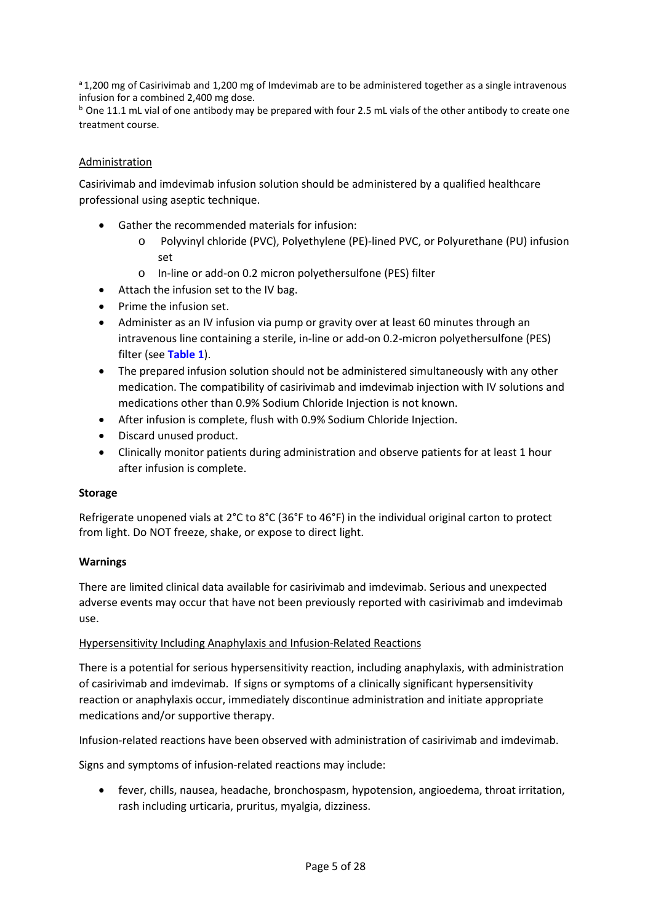a 1,200 mg of Casirivimab and 1,200 mg of Imdevimab are to be administered together as a single intravenous infusion for a combined 2,400 mg dose.

 $b$  One 11.1 mL vial of one antibody may be prepared with four 2.5 mL vials of the other antibody to create one treatment course.

#### Administration

Casirivimab and imdevimab infusion solution should be administered by a qualified healthcare professional using aseptic technique.

- Gather the recommended materials for infusion:
	- o Polyvinyl chloride (PVC), Polyethylene (PE)-lined PVC, or Polyurethane (PU) infusion set
	- o In-line or add-on 0.2 micron polyethersulfone (PES) filter
- Attach the infusion set to the IV bag.
- Prime the infusion set.
- Administer as an IV infusion via pump or gravity over at least 60 minutes through an intravenous line containing a sterile, in-line or add-on 0.2-micron polyethersulfone (PES) filter (see **[Table 1](#page-3-0)**).
- • The prepared infusion solution should not be administered simultaneously with any other medications other than 0.9% Sodium Chloride Injection is not known. medication. The compatibility of casirivimab and imdevimab injection with IV solutions and
- After infusion is complete, flush with 0.9% Sodium Chloride Injection.
- Discard unused product.
- Clinically monitor patients during administration and observe patients for at least 1 hour after infusion is complete.

#### **Storage**

 Refrigerate unopened vials at 2°C to 8°C (36°F to 46°F) in the individual original carton to protect from light. Do NOT freeze, shake, or expose to direct light.

#### **Warnings**

 adverse events may occur that have not been previously reported with casirivimab and imdevimab There are limited clinical data available for casirivimab and imdevimab. Serious and unexpected use.

#### Hypersensitivity Including Anaphylaxis and Infusion-Related Reactions

There is a potential for serious hypersensitivity reaction, including anaphylaxis, with administration of casirivimab and imdevimab. If signs or symptoms of a clinically significant hypersensitivity reaction or anaphylaxis occur, immediately discontinue administration and initiate appropriate medications and/or supportive therapy.

Infusion-related reactions have been observed with administration of casirivimab and imdevimab.

Signs and symptoms of infusion-related reactions may include:

• fever, chills, nausea, headache, bronchospasm, hypotension, angioedema, throat irritation, rash including urticaria, pruritus, myalgia, dizziness.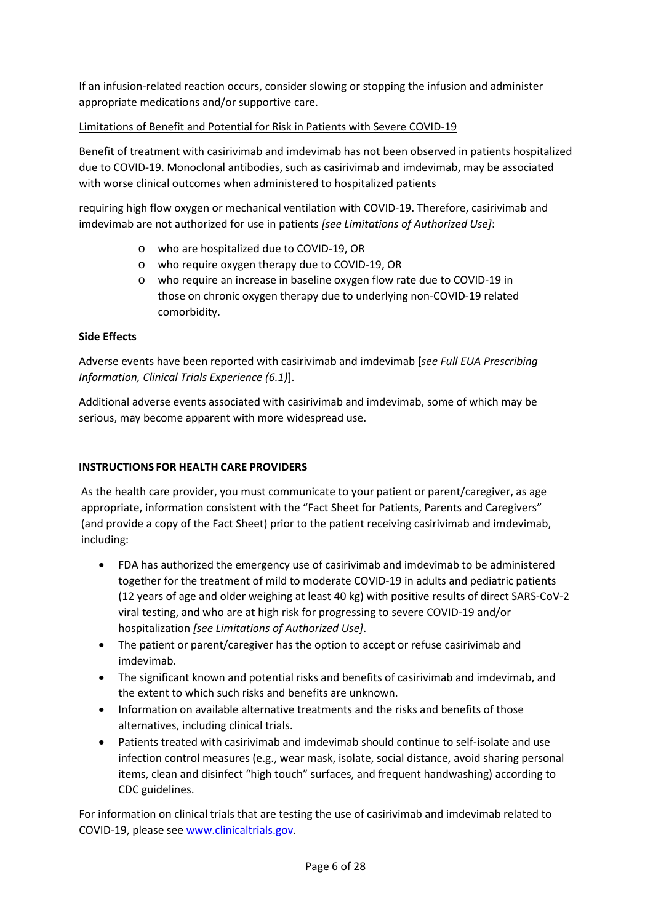appropriate medications and/or supportive care. If an infusion-related reaction occurs, consider slowing or stopping the infusion and administer

# appropriate medications and/or supportive care.<br>Limitations of Benefit and Potential for Risk in Patients with Severe COVID-19

Benefit of treatment with casirivimab and imdevimab has not been observed in patients hospitalized due to COVID-19. Monoclonal antibodies, such as casirivimab and imdevimab, may be associated with worse clinical outcomes when administered to hospitalized patients

 requiring high flow oxygen or mechanical ventilation with COVID-19. Therefore, casirivimab and imdevimab are not authorized for use in patients *[see Limitations of Authorized Use]*:

- o who are hospitalized due to COVID-19, OR
- o who require oxygen therapy due to COVID-19, OR
- o who require an increase in baseline oxygen flow rate due to COVID-19 in those on chronic oxygen therapy due to underlying non-COVID-19 related comorbidity.

#### **Side Effects**

Adverse events have been reported with casirivimab and imdevimab [*see Full EUA Prescribing Information, Clinical Trials Experience (6.1)*].

 Additional adverse events associated with casirivimab and imdevimab, some of which may be serious, may become apparent with more widespread use.

#### **INSTRUCTIONS FOR HEALTH CARE PROVIDERS**

As the health care provider, you must communicate to your patient or parent/caregiver, as age appropriate, information consistent with the "Fact Sheet for Patients, Parents and Caregivers" (and provide a copy of the Fact Sheet) prior to the patient receiving casirivimab and imdevimab, including:

- together for the treatment of mild to moderate COVID-19 in adults and pediatric patients (12 years of age and older weighing at least 40 kg) with positive results of direct SARS-CoV-2 • FDA has authorized the emergency use of casirivimab and imdevimab to be administered viral testing, and who are at high risk for progressing to severe COVID-19 and/or hospitalization *[see Limitations of Authorized Use]*.
- The patient or parent/caregiver has the option to accept or refuse casirivimab and imdevimab.
- • The significant known and potential risks and benefits of casirivimab and imdevimab, and the extent to which such risks and benefits are unknown.
- • Information on available alternative treatments and the risks and benefits of those alternatives, including clinical trials.
- • Patients treated with casirivimab and imdevimab should continue to self-isolate and use infection control measures (e.g., wear mask, isolate, social distance, avoid sharing personal items, clean and disinfect "high touch" surfaces, and frequent handwashing) according to CDC guidelines.

 For information on clinical trials that are testing the use of casirivimab and imdevimab related to COVID-19, please se[e www.clinicaltrials.gov.](http://www.clinicaltrials.gov/)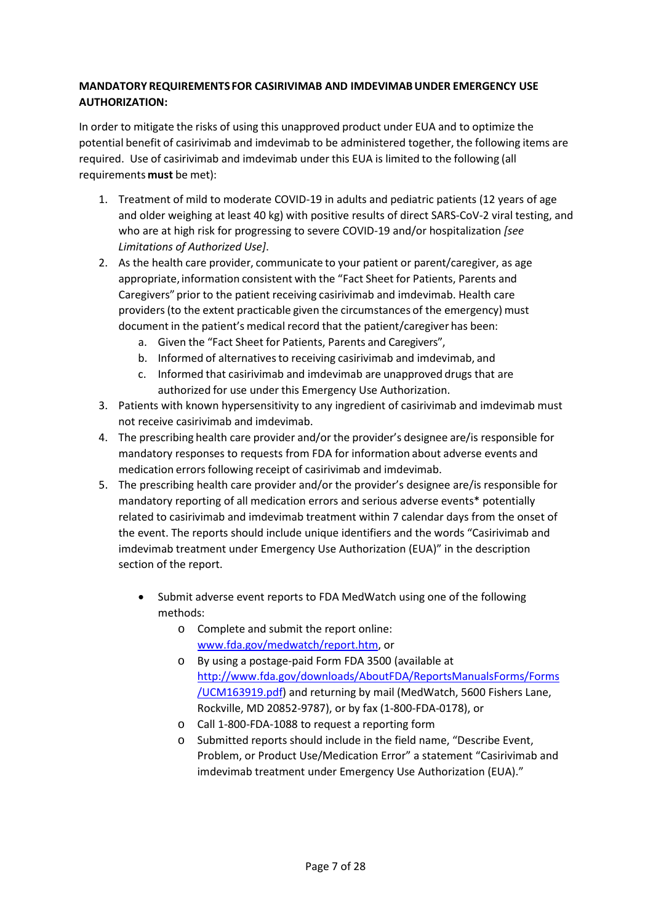#### **MANDATORY REQUIREMENTS FOR CASIRIVIMAB AND IMDEVIMAB UNDER EMERGENCY USE AUTHORIZATION:**

 In order to mitigate the risks of using this unapproved product under EUA and to optimize the potential benefit of casirivimab and imdevimab to be administered together, the following items are required. Use of casirivimab and imdevimab under this EUA is limited to the following (all requirements **must** be met):

- and older weighing at least 40 kg) with positive results of direct SARS-CoV-2 viral testing, and 1. Treatment of mild to moderate COVID-19 in adults and pediatric patients (12 years of age who are at high risk for progressing to severe COVID-19 and/or hospitalization *[see Limitations of Authorized Use]*.
- 2. As the health care provider, communicate to your patient or parent/caregiver, as age appropriate, information consistent with the "Fact Sheet for Patients, Parents and Caregivers" prior to the patient receiving casirivimab and imdevimab. Health care providers (to the extent practicable given the circumstances of the emergency) must document in the patient's medical record that the patient/caregiver has been:
	- a. Given the "Fact Sheet for Patients, Parents and Caregivers",
	- b. Informed of alternatives to receiving casirivimab and imdevimab, and
	- c. Informed that casirivimab and imdevimab are unapproved drugs that are authorized for use under this Emergency Use Authorization.
- 3. Patients with known hypersensitivity to any ingredient of casirivimab and imdevimab must not receive casirivimab and imdevimab.
- 4. The prescribing health care provider and/or the provider's designee are/is responsible for mandatory responses to requests from FDA for information about adverse events and medication errors following receipt of casirivimab and imdevimab.
- related to casirivimab and imdevimab treatment within 7 calendar days from the onset of 5. The prescribing health care provider and/or the provider's designee are/is responsible for mandatory reporting of all medication errors and serious adverse events\* potentially the event. The reports should include unique identifiers and the words "Casirivimab and imdevimab treatment under Emergency Use Authorization (EUA)" in the description section of the report.
	- • Submit adverse event reports to FDA MedWatch using one of the following methods:
		- o Complete and submit the report online: [www.fda.gov/medwatch/report.htm,](http://www.fda.gov/medwatch/report.htm) or
		- [/UCM163919.pdf\)](http://www.fda.gov/downloads/AboutFDA/ReportsManualsForms/Forms/UCM163919.pdf) and returning by mail (MedWatch, 5600 Fishers Lane, o By using a postage-paid Form FDA 3500 (available at [http://www.fda.gov/downloads/AboutFDA/ReportsManualsForms/Forms](http://www.fda.gov/downloads/AboutFDA/ReportsManualsForms/Forms/UCM163919.pdf)  Rockville, MD 20852-9787), or by fax (1-800-FDA-0178), or
		- o Call 1-800-FDA-1088 to request a reporting form
		- o Submitted reports should include in the field name, "Describe Event, Problem, or Product Use/Medication Error" a statement "Casirivimab and imdevimab treatment under Emergency Use Authorization (EUA)."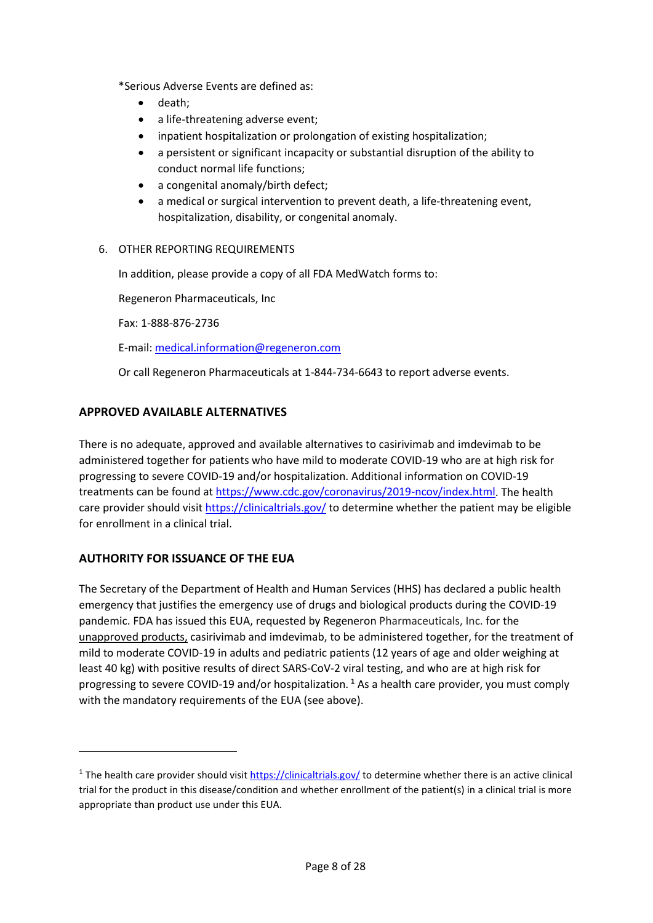\*Serious Adverse Events are defined as:

- death;
- a life-threatening adverse event;
- inpatient hospitalization or prolongation of existing hospitalization;
- • a persistent or significant incapacity or substantial disruption of the ability to conduct normal life functions;
- a congenital anomaly/birth defect;
- a medical or surgical intervention to prevent death, a life-threatening event, hospitalization, disability, or congenital anomaly.

#### 6. OTHER REPORTING REQUIREMENTS

In addition, please provide a copy of all FDA MedWatch forms to:

Regeneron Pharmaceuticals, Inc

Fax: 1-888-876-2736

E-mail: [medical.information@regeneron.com](mailto:medical.information@regeneron.com) 

Or call Regeneron Pharmaceuticals at 1-844-734-6643 to report adverse events.

#### **APPROVED AVAILABLE ALTERNATIVES**

 There is no adequate, approved and available alternatives to casirivimab and imdevimab to be administered together for patients who have mild to moderate COVID-19 who are at high risk for care provider should visit [https://clinicaltrials.gov/ t](https://clinicaltrials.gov/)o determine whether the patient may be eligible progressing to severe COVID-19 and/or hospitalization. Additional information on COVID-19 treatments can be found at [https://www.cdc.gov/coronavirus/2019-ncov/index.html.](https://www.cdc.gov/coronavirus/2019-ncov/index.html) The health for enrollment in a clinical trial.

#### **AUTHORITY FOR ISSUANCE OF THE EUA**

<u>.</u>

 emergency that justifies the emergency use of drugs and biological products during the COVID-19 mild to moderate COVID-19 in adults and pediatric patients (12 years of age and older weighing at with the mandatory requirements of the EUA (see above). The Secretary of the Department of Health and Human Services (HHS) has declared a public health pandemic. FDA has issued this EUA, requested by Regeneron Pharmaceuticals, Inc. for the unapproved products, casirivimab and imdevimab, to be administered together, for the treatment of least 40 kg) with positive results of direct SARS-CoV-2 viral testing, and who are at high risk for progressing to severe COVID-19 and/or hospitalization. **[1](#page-7-0)** As a health care provider, you must comply

<span id="page-7-0"></span><sup>&</sup>lt;sup>1</sup> The health care provider should visit [https://clinicaltrials.gov/ t](https://clinicaltrials.gov/)o determine whether there is an active clinical trial for the product in this disease/condition and whether enrollment of the patient(s) in a clinical trial is more appropriate than product use under this EUA.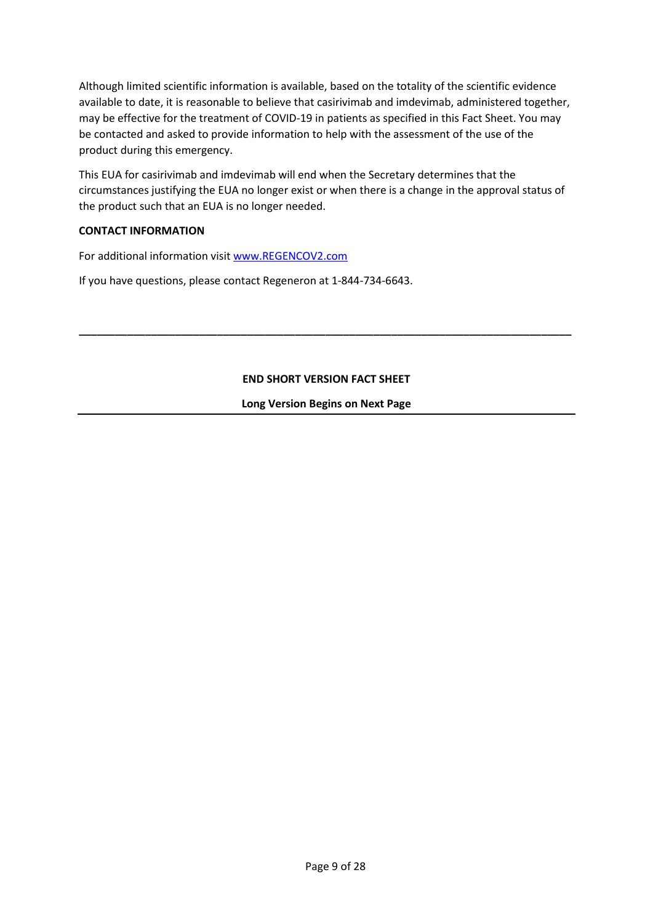Although limited scientific information is available, based on the totality of the scientific evidence available to date, it is reasonable to believe that casirivimab and imdevimab, administered together, may be effective for the treatment of COVID-19 in patients as specified in this Fact Sheet. You may be contacted and asked to provide information to help with the assessment of the use of the product during this emergency.

This EUA for casirivimab and imdevimab will end when the Secretary determines that the circumstances justifying the EUA no longer exist or when there is a change in the approval status of the product such that an EUA is no longer needed.

#### **CONTACT INFORMATION**

For additional information visit [www.REGENCOV2.com](http://www.regencov2.com/)

If you have questions, please contact Regeneron at 1-844-734-6643.

#### **END SHORT VERSION FACT SHEET**

**\_\_\_\_\_\_\_\_\_\_\_\_\_\_\_\_\_\_\_\_\_\_\_\_\_\_\_\_\_\_\_\_\_\_\_\_\_\_\_\_\_\_\_\_\_\_\_\_\_\_\_\_\_\_\_\_\_\_\_\_\_\_\_\_\_\_\_\_\_\_\_\_\_\_\_\_\_\_\_\_\_\_** 

**Long Version Begins on Next Page**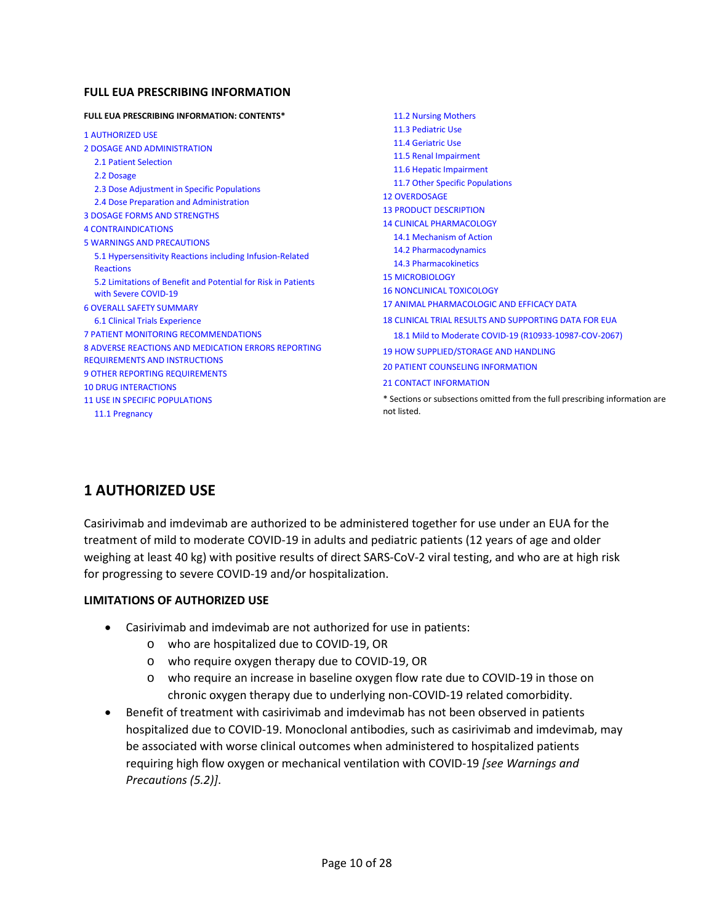#### **FULL EUA PRESCRIBING INFORMATION**

| <b>FULL EUA PRESCRIBING INFORMATION: CONTENTS*</b>            | 11.2 Nursing Mothers                                                        |
|---------------------------------------------------------------|-----------------------------------------------------------------------------|
| <b>1 AUTHORIZED USE</b>                                       | 11.3 Pediatric Use                                                          |
| <b>2 DOSAGE AND ADMINISTRATION</b>                            | 11.4 Geriatric Use                                                          |
| 2.1 Patient Selection                                         | 11.5 Renal Impairment                                                       |
| 2.2 Dosage                                                    | 11.6 Hepatic Impairment                                                     |
| 2.3 Dose Adjustment in Specific Populations                   | 11.7 Other Specific Populations                                             |
| 2.4 Dose Preparation and Administration                       | <b>12 OVERDOSAGE</b>                                                        |
| <b>3 DOSAGE FORMS AND STRENGTHS</b>                           | <b>13 PRODUCT DESCRIPTION</b>                                               |
| <b>4 CONTRAINDICATIONS</b>                                    | <b>14 CLINICAL PHARMACOLOGY</b>                                             |
| <b>5 WARNINGS AND PRECAUTIONS</b>                             | 14.1 Mechanism of Action                                                    |
| 5.1 Hypersensitivity Reactions including Infusion-Related     | 14.2 Pharmacodynamics                                                       |
| <b>Reactions</b>                                              | 14.3 Pharmacokinetics                                                       |
| 5.2 Limitations of Benefit and Potential for Risk in Patients | <b>15 MICROBIOLOGY</b>                                                      |
| with Severe COVID-19                                          | <b>16 NONCLINICAL TOXICOLOGY</b>                                            |
| <b>6 OVERALL SAFETY SUMMARY</b>                               | 17 ANIMAL PHARMACOLOGIC AND EFFICACY DATA                                   |
| <b>6.1 Clinical Trials Experience</b>                         | <b>18 CLINICAL TRIAL RESULTS AND SUPPORTING DATA FOR EUA</b>                |
| <b>7 PATIENT MONITORING RECOMMENDATIONS</b>                   | 18.1 Mild to Moderate COVID-19 (R10933-10987-COV-2067)                      |
| <b>8 ADVERSE REACTIONS AND MEDICATION ERRORS REPORTING</b>    | <b>19 HOW SUPPLIED/STORAGE AND HANDLING</b>                                 |
| <b>REQUIREMENTS AND INSTRUCTIONS</b>                          | <b>20 PATIENT COUNSELING INFORMATION</b>                                    |
| <b>9 OTHER REPORTING REQUIREMENTS</b>                         | <b>21 CONTACT INFORMATION</b>                                               |
| <b>10 DRUG INTERACTIONS</b>                                   |                                                                             |
| <b>11 USE IN SPECIFIC POPULATIONS</b>                         | * Sections or subsections omitted from the full prescribing information are |
| 11.1 Pregnancy                                                | not listed.                                                                 |
|                                                               |                                                                             |

## <span id="page-9-0"></span>**1 AUTHORIZED USE**

 weighing at least 40 kg) with positive results of direct SARS-CoV-2 viral testing, and who are at high risk Casirivimab and imdevimab are authorized to be administered together for use under an EUA for the treatment of mild to moderate COVID-19 in adults and pediatric patients (12 years of age and older for progressing to severe COVID-19 and/or hospitalization.

#### **LIMITATIONS OF AUTHORIZED USE**

- Casirivimab and imdevimab are not authorized for use in patients:
	- o who are hospitalized due to COVID-19, OR
	- o who require oxygen therapy due to COVID-19, OR
	- o who require an increase in baseline oxygen flow rate due to COVID-19 in those on chronic oxygen therapy due to underlying non-COVID-19 related comorbidity.
- be associated with worse clinical outcomes when administered to hospitalized patients requiring high flow oxygen or mechanical ventilation with COVID-19 *[see Warnings and*  • Benefit of treatment with casirivimab and imdevimab has not been observed in patients hospitalized due to COVID-19. Monoclonal antibodies, such as casirivimab and imdevimab, may *Precautions (5.2)]*.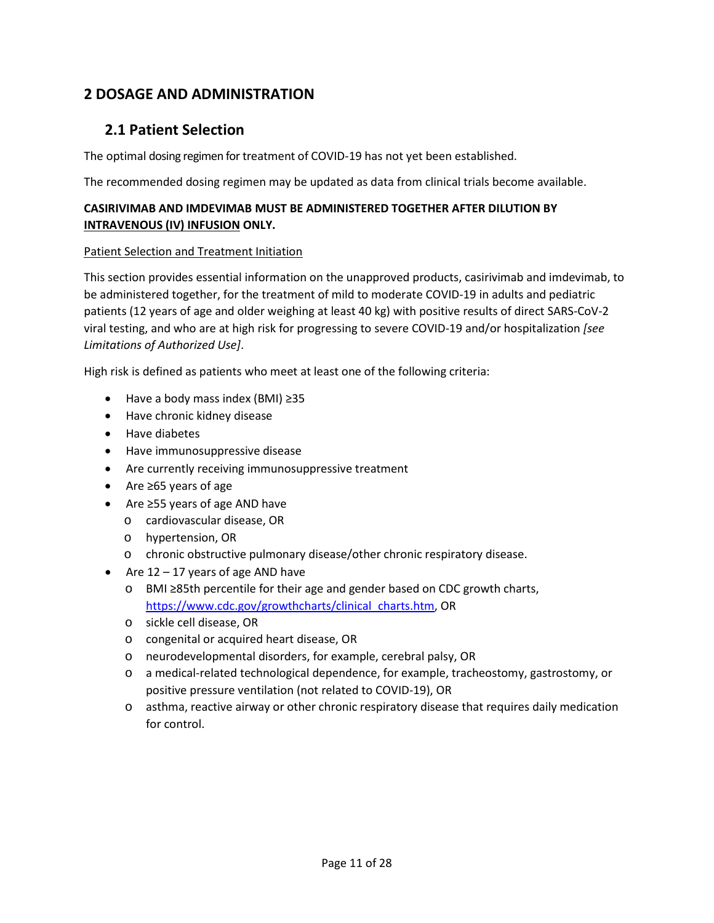## <span id="page-10-0"></span>**2 DOSAGE AND ADMINISTRATION**

## <span id="page-10-2"></span><span id="page-10-1"></span> **2.1 Patient Selection**

The optimal dosing regimen for treatment of COVID-19 has not yet been established.

The recommended dosing regimen may be updated as data from clinical trials become available.

## **INTRAVENOUS (IV) INFUSION ONLY. CASIRIVIMAB AND IMDEVIMAB MUST BE ADMINISTERED TOGETHER AFTER DILUTION BY**

#### Patient Selection and Treatment Initiation

 patients (12 years of age and older weighing at least 40 kg) with positive results of direct SARS-CoV-2 This section provides essential information on the unapproved products, casirivimab and imdevimab, to be administered together, for the treatment of mild to moderate COVID-19 in adults and pediatric viral testing, and who are at high risk for progressing to severe COVID-19 and/or hospitalization *[see Limitations of Authorized Use]*.

High risk is defined as patients who meet at least one of the following criteria:

- Have a body mass index (BMI) ≥35
- Have chronic kidney disease
- Have diabetes
- Have immunosuppressive disease
- Are currently receiving immunosuppressive treatment
- Are ≥65 years of age
- Are ≥55 years of age AND have
	- o cardiovascular disease, OR
	- o hypertension, OR
	- o chronic obstructive pulmonary disease/other chronic respiratory disease.
- Are  $12 17$  years of age AND have
	- o BMI ≥85th percentile for their age and gender based on CDC growth charts, [https://www.cdc.gov/growthcharts/clinical\\_charts.htm,](https://www.cdc.gov/growthcharts/clinical_charts.htm) OR
	- o sickle cell disease, OR
	- o congenital or acquired heart disease, OR
	- o neurodevelopmental disorders, for example, cerebral palsy, OR
	- positive pressure ventilation (not related to COVID-19), OR o a medical-related technological dependence, for example, tracheostomy, gastrostomy, or
	- o asthma, reactive airway or other chronic respiratory disease that requires daily medication for control.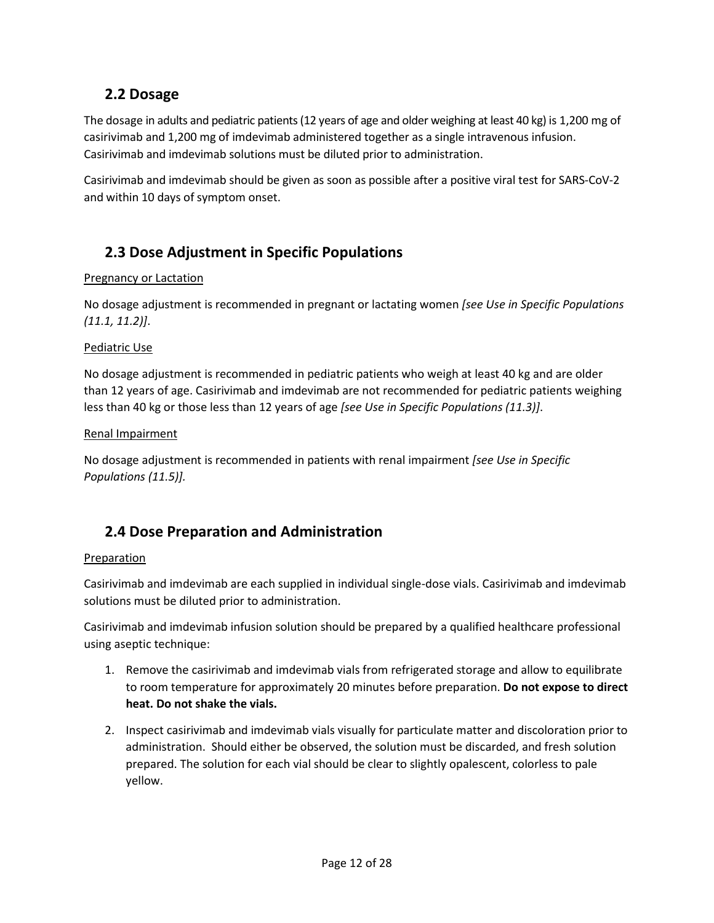## <span id="page-11-0"></span>**2.2 Dosage**

 The dosage in adults and pediatric patients (12 years of age and older weighing at least 40 kg) is 1,200 mg of Casirivimab and imdevimab solutions must be diluted prior to administration. casirivimab and 1,200 mg of imdevimab administered together as a single intravenous infusion.

 Casirivimab and imdevimab should be given as soon as possible after a positive viral test for SARS-CoV-2 and within 10 days of symptom onset.

## <span id="page-11-2"></span><span id="page-11-1"></span>**2.3 Dose Adjustment in Specific Populations**

#### Pregnancy or Lactation

 No dosage adjustment is recommended in pregnant or lactating women *[see Use in Specific Populations (11.1, 11.2)]*.

#### Pediatric Use

 No dosage adjustment is recommended in pediatric patients who weigh at least 40 kg and are older less than 40 kg or those less than 12 years of age *[see Use in Specific Populations (11.3)]*. than 12 years of age. Casirivimab and imdevimab are not recommended for pediatric patients weighing

#### Renal Impairment

No dosage adjustment is recommended in patients with renal impairment *[see Use in Specific Populations (11.5)].* 

## <span id="page-11-4"></span><span id="page-11-3"></span>**2.4 Dose Preparation and Administration**

#### Preparation

Casirivimab and imdevimab are each supplied in individual single-dose vials. Casirivimab and imdevimab solutions must be diluted prior to administration.

Casirivimab and imdevimab infusion solution should be prepared by a qualified healthcare professional using aseptic technique:

- **heat. Do not shake the vials.** 1. Remove the casirivimab and imdevimab vials from refrigerated storage and allow to equilibrate to room temperature for approximately 20 minutes before preparation. **Do not expose to direct**
- administration. Should either be observed, the solution must be discarded, and fresh solution prepared. The solution for each vial should be clear to slightly opalescent, colorless to pale 2. Inspect casirivimab and imdevimab vials visually for particulate matter and discoloration prior to yellow.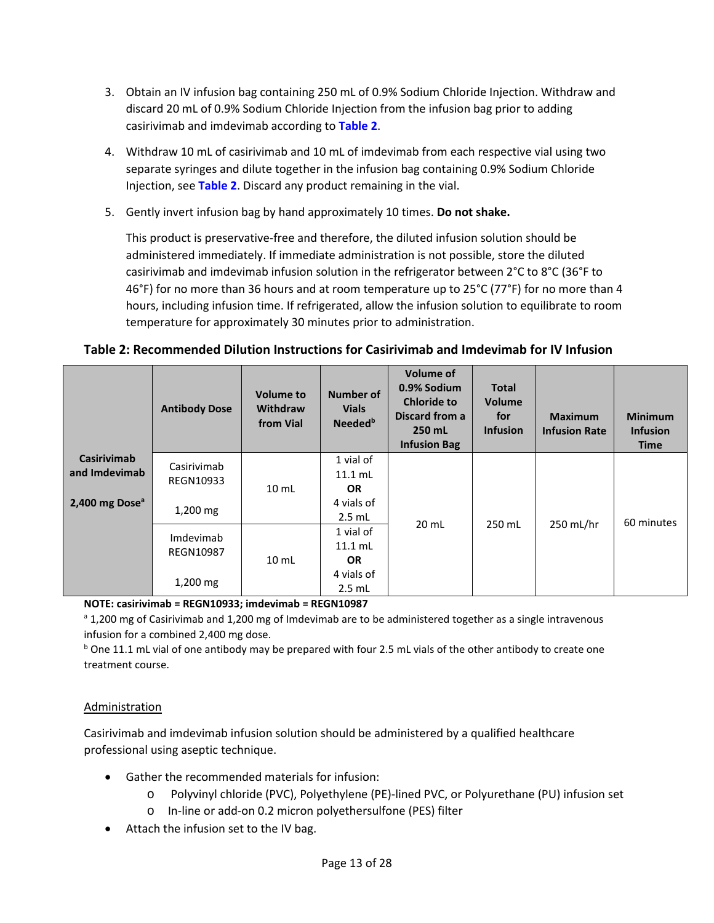- 3. Obtain an IV infusion bag containing 250 mL of 0.9% Sodium Chloride Injection. Withdraw and discard 20 mL of 0.9% Sodium Chloride Injection from the infusion bag prior to adding casirivimab and imdevimab according to **[Table 2](#page-12-0)**.
- 4. Withdraw 10 mL of casirivimab and 10 mL of imdevimab from each respective vial using two separate syringes and dilute together in the infusion bag containing 0.9% Sodium Chloride Injection, see **[Table 2](#page-12-0)**. Discard any product remaining in the vial.
- 5. Gently invert infusion bag by hand approximately 10 times. **Do not shake.**

 administered immediately. If immediate administration is not possible, store the diluted casirivimab and imdevimab infusion solution in the refrigerator between 2°C to 8°C (36°F to 46°F) for no more than 36 hours and at room temperature up to 25°C (77°F) for no more than 4 This product is preservative-free and therefore, the diluted infusion solution should be hours, including infusion time. If refrigerated, allow the infusion solution to equilibrate to room temperature for approximately 30 minutes prior to administration.

#### <span id="page-12-0"></span>**Table 2: Recommended Dilution Instructions for Casirivimab and Imdevimab for IV Infusion**

|                                     | <b>Antibody Dose</b>          | <b>Volume to</b><br><b>Withdraw</b><br>from Vial | Number of<br><b>Vials</b><br>Needed <sup>b</sup> | <b>Volume of</b><br>0.9% Sodium<br><b>Chloride to</b><br>Discard from a<br>250 mL<br><b>Infusion Bag</b> | <b>Total</b><br><b>Volume</b><br>for<br><b>Infusion</b> | <b>Maximum</b><br><b>Infusion Rate</b> | <b>Minimum</b><br><b>Infusion</b><br><b>Time</b> |
|-------------------------------------|-------------------------------|--------------------------------------------------|--------------------------------------------------|----------------------------------------------------------------------------------------------------------|---------------------------------------------------------|----------------------------------------|--------------------------------------------------|
| <b>Casirivimab</b><br>and Imdevimab | Casirivimab<br>REGN10933      | $10 \mathrm{m}$                                  | 1 vial of<br>$11.1$ mL<br><b>OR</b>              |                                                                                                          |                                                         |                                        |                                                  |
| 2,400 mg Dose <sup>a</sup>          | $1,200$ mg                    | 10 <sub>mL</sub>                                 | 4 vials of<br>$2.5$ mL                           | $20 \text{ mL}$                                                                                          | 250 mL                                                  | 250 mL/hr                              | 60 minutes                                       |
|                                     | Imdevimab<br><b>REGN10987</b> |                                                  | 1 vial of<br>$11.1$ mL<br><b>OR</b>              |                                                                                                          |                                                         |                                        |                                                  |
|                                     | $1,200$ mg                    |                                                  | 4 vials of<br>$2.5$ mL                           |                                                                                                          |                                                         |                                        |                                                  |

#### **NOTE: casirivimab = REGN10933; imdevimab = REGN10987**

<sup>a</sup> 1,200 mg of Casirivimab and 1,200 mg of Imdevimab are to be administered together as a single intravenous infusion for a combined 2,400 mg dose.

**b** One 11.1 mL vial of one antibody may be prepared with four 2.5 mL vials of the other antibody to create one treatment course.

#### Administration

 Casirivimab and imdevimab infusion solution should be administered by a qualified healthcare professional using aseptic technique.

- Gather the recommended materials for infusion:
	- o Polyvinyl chloride (PVC), Polyethylene (PE)-lined PVC, or Polyurethane (PU) infusion set
	- o In-line or add-on 0.2 micron polyethersulfone (PES) filter
- Attach the infusion set to the IV bag.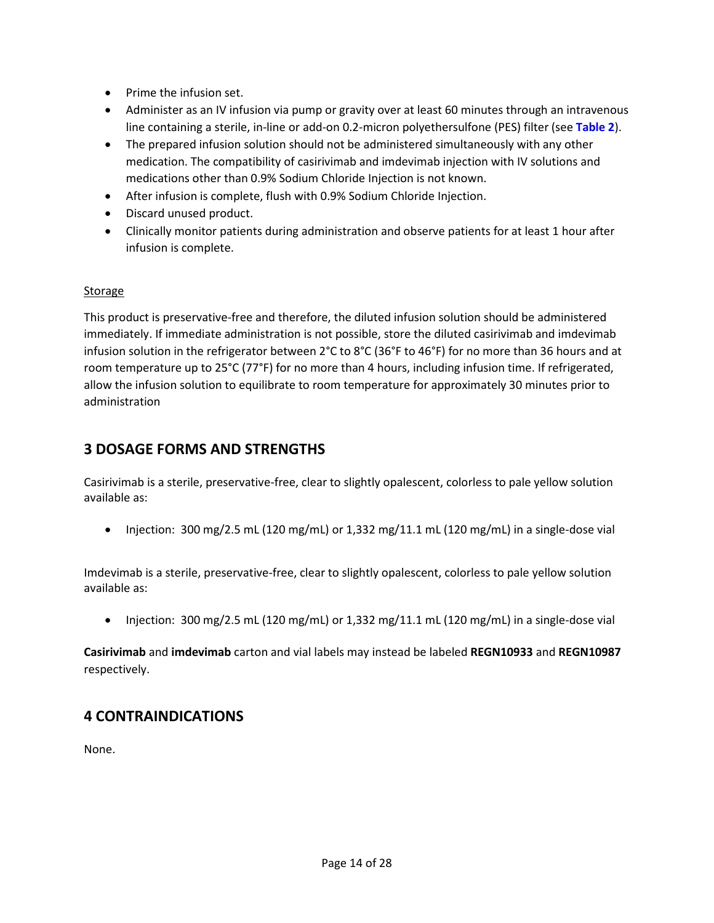- Prime the infusion set.
- Administer as an IV infusion via pump or gravity over at least 60 minutes through an intravenous line containing a sterile, in-line or add-on 0.2-micron polyethersulfone (PES) filter (see **[Table 2](#page-12-0)**).
- • The prepared infusion solution should not be administered simultaneously with any other medications other than 0.9% Sodium Chloride Injection is not known. medication. The compatibility of casirivimab and imdevimab injection with IV solutions and
- After infusion is complete, flush with 0.9% Sodium Chloride Injection.
- Discard unused product.
- Clinically monitor patients during administration and observe patients for at least 1 hour after infusion is complete.

#### Storage

 infusion solution in the refrigerator between 2°C to 8°C (36°F to 46°F) for no more than 36 hours and at room temperature up to 25°C (77°F) for no more than 4 hours, including infusion time. If refrigerated, allow the infusion solution to equilibrate to room temperature for approximately 30 minutes prior to This product is preservative-free and therefore, the diluted infusion solution should be administered immediately. If immediate administration is not possible, store the diluted casirivimab and imdevimab administration

## <span id="page-13-0"></span>**3 DOSAGE FORMS AND STRENGTHS**

Casirivimab is a sterile, preservative-free, clear to slightly opalescent, colorless to pale yellow solution available as:

• Injection: 300 mg/2.5 mL (120 mg/mL) or 1,332 mg/11.1 mL (120 mg/mL) in a single-dose vial

Imdevimab is a sterile, preservative-free, clear to slightly opalescent, colorless to pale yellow solution available as:

• Injection: 300 mg/2.5 mL (120 mg/mL) or 1,332 mg/11.1 mL (120 mg/mL) in a single-dose vial

**Casirivimab** and **imdevimab** carton and vial labels may instead be labeled **REGN10933** and **REGN10987**  respectively.

## <span id="page-13-1"></span>**4 CONTRAINDICATIONS**

None.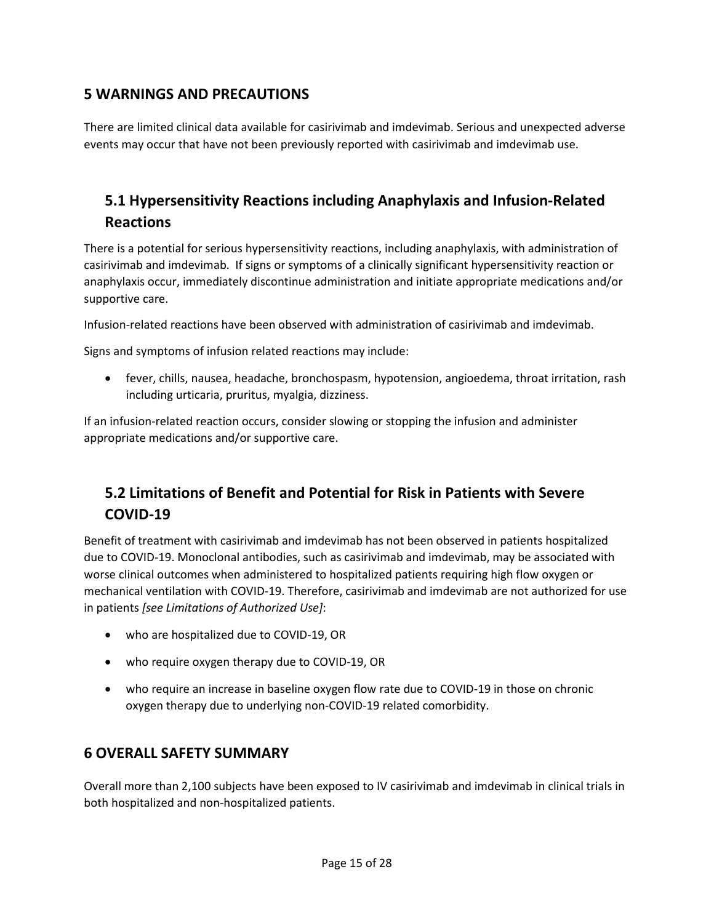## <span id="page-14-0"></span>**5 WARNINGS AND PRECAUTIONS**

 events may occur that have not been previously reported with casirivimab and imdevimab use. There are limited clinical data available for casirivimab and imdevimab. Serious and unexpected adverse

## <span id="page-14-1"></span>**5.1 Hypersensitivity Reactions including Anaphylaxis and Infusion-Related Reactions**

There is a potential for serious hypersensitivity reactions, including anaphylaxis, with administration of casirivimab and imdevimab. If signs or symptoms of a clinically significant hypersensitivity reaction or anaphylaxis occur, immediately discontinue administration and initiate appropriate medications and/or supportive care.

Infusion-related reactions have been observed with administration of casirivimab and imdevimab.

Signs and symptoms of infusion related reactions may include:

• fever, chills, nausea, headache, bronchospasm, hypotension, angioedema, throat irritation, rash including urticaria, pruritus, myalgia, dizziness.

 appropriate medications and/or supportive care. If an infusion-related reaction occurs, consider slowing or stopping the infusion and administer

## <span id="page-14-2"></span>**5.2 Limitations of Benefit and Potential for Risk in Patients with Severe COVID-19**

 due to COVID-19. Monoclonal antibodies, such as casirivimab and imdevimab, may be associated with worse clinical outcomes when administered to hospitalized patients requiring high flow oxygen or mechanical ventilation with COVID-19. Therefore, casirivimab and imdevimab are not authorized for use Benefit of treatment with casirivimab and imdevimab has not been observed in patients hospitalized in patients *[see Limitations of Authorized Use]*:

- <span id="page-14-3"></span>• who are hospitalized due to COVID-19, OR
- who require oxygen therapy due to COVID-19, OR
- • who require an increase in baseline oxygen flow rate due to COVID-19 in those on chronic oxygen therapy due to underlying non-COVID-19 related comorbidity.

## **6 OVERALL SAFETY SUMMARY**

Overall more than 2,100 subjects have been exposed to IV casirivimab and imdevimab in clinical trials in both hospitalized and non-hospitalized patients.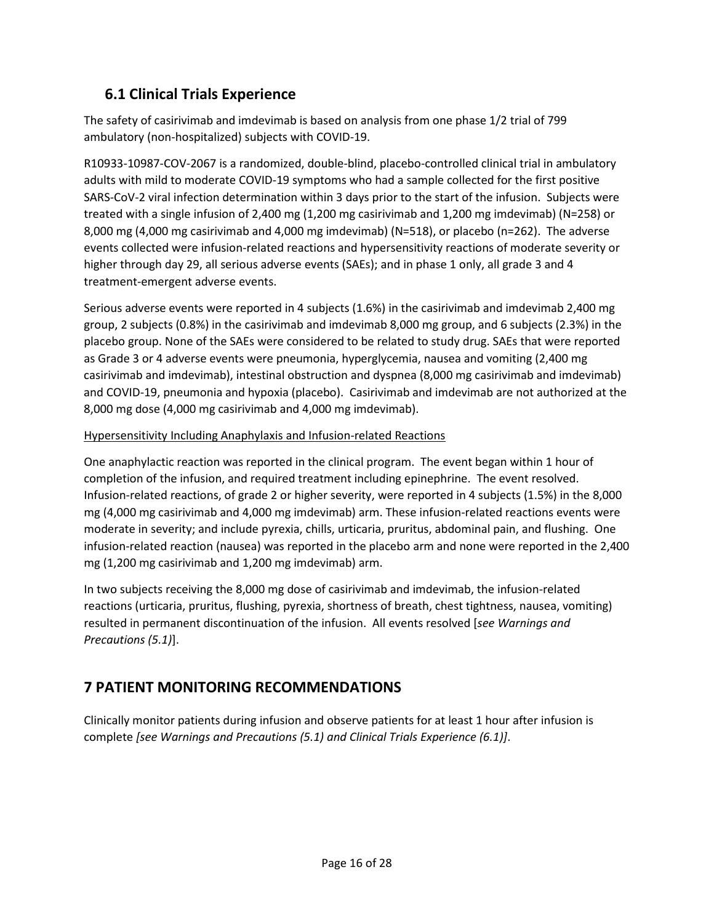## <span id="page-15-0"></span>**6.1 Clinical Trials Experience**

 The safety of casirivimab and imdevimab is based on analysis from one phase 1/2 trial of 799 ambulatory (non-hospitalized) subjects with COVID-19.

 SARS-CoV-2 viral infection determination within 3 days prior to the start of the infusion. Subjects were treated with a single infusion of 2,400 mg (1,200 mg casirivimab and 1,200 mg imdevimab) (N=258) or 8,000 mg (4,000 mg casirivimab and 4,000 mg imdevimab) (N=518), or placebo (n=262). The adverse higher through day 29, all serious adverse events (SAEs); and in phase 1 only, all grade 3 and 4 R10933-10987-COV-2067 is a randomized, double-blind, placebo-controlled clinical trial in ambulatory adults with mild to moderate COVID-19 symptoms who had a sample collected for the first positive events collected were infusion-related reactions and hypersensitivity reactions of moderate severity or treatment-emergent adverse events.

 group, 2 subjects (0.8%) in the casirivimab and imdevimab 8,000 mg group, and 6 subjects (2.3%) in the as Grade 3 or 4 adverse events were pneumonia, hyperglycemia, nausea and vomiting (2,400 mg and COVID-19, pneumonia and hypoxia (placebo). Casirivimab and imdevimab are not authorized at the Serious adverse events were reported in 4 subjects (1.6%) in the casirivimab and imdevimab 2,400 mg placebo group. None of the SAEs were considered to be related to study drug. SAEs that were reported casirivimab and imdevimab), intestinal obstruction and dyspnea (8,000 mg casirivimab and imdevimab) 8,000 mg dose (4,000 mg casirivimab and 4,000 mg imdevimab).

#### Hypersensitivity Including Anaphylaxis and Infusion-related Reactions

 One anaphylactic reaction was reported in the clinical program. The event began within 1 hour of completion of the infusion, and required treatment including epinephrine. The event resolved. Infusion-related reactions, of grade 2 or higher severity, were reported in 4 subjects (1.5%) in the 8,000 mg (4,000 mg casirivimab and 4,000 mg imdevimab) arm. These infusion-related reactions events were infusion-related reaction (nausea) was reported in the placebo arm and none were reported in the 2,400 mg (1,200 mg casirivimab and 1,200 mg imdevimab) arm. moderate in severity; and include pyrexia, chills, urticaria, pruritus, abdominal pain, and flushing. One

 In two subjects receiving the 8,000 mg dose of casirivimab and imdevimab, the infusion-related reactions (urticaria, pruritus, flushing, pyrexia, shortness of breath, chest tightness, nausea, vomiting) resulted in permanent discontinuation of the infusion. All events resolved [*see Warnings and Precautions (5.1)*].

## <span id="page-15-1"></span>**7 PATIENT MONITORING RECOMMENDATIONS**

Clinically monitor patients during infusion and observe patients for at least 1 hour after infusion is complete *[see Warnings and Precautions (5.1) and Clinical Trials Experience (6.1)]*.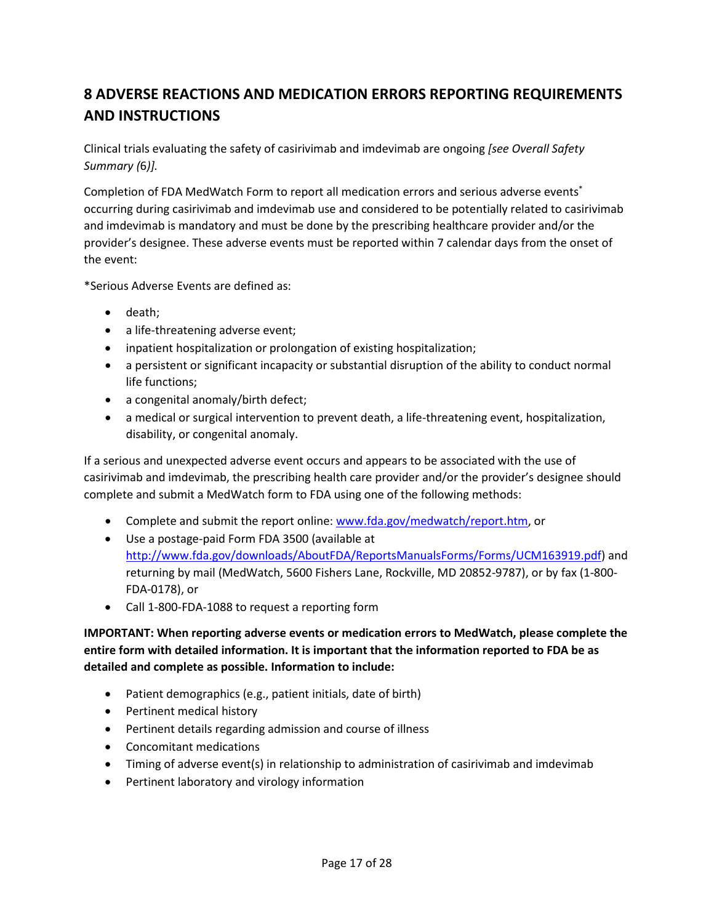## <span id="page-16-0"></span>**8 ADVERSE REACTIONS AND MEDICATION ERRORS REPORTING REQUIREMENTS AND INSTRUCTIONS**

 Clinical trials evaluating the safety of casirivimab and imdevimab are ongoing *[see Overall Safety Summary (*6*)].* 

Completion of FDA MedWatch Form to report all medication errors and serious adverse events<sup>\*</sup> occurring during casirivimab and imdevimab use and considered to be potentially related to casirivimab provider's designee. These adverse events must be reported within 7 calendar days from the onset of and imdevimab is mandatory and must be done by the prescribing healthcare provider and/or the the event:

\*Serious Adverse Events are defined as:

- death;
- a life-threatening adverse event;
- inpatient hospitalization or prolongation of existing hospitalization;
- • a persistent or significant incapacity or substantial disruption of the ability to conduct normal life functions;
- a congenital anomaly/birth defect;
- a medical or surgical intervention to prevent death, a life-threatening event, hospitalization, disability, or congenital anomaly.

 If a serious and unexpected adverse event occurs and appears to be associated with the use of casirivimab and imdevimab, the prescribing health care provider and/or the provider's designee should complete and submit a MedWatch form to FDA using one of the following methods:

- Complete and submit the report online: [www.fda.gov/medwatch/report.htm,](http://www.fda.gov/medwatch/report.htm) or
- Use a postage-paid Form FDA 3500 (available at [http://www.fda.gov/downloads/AboutFDA/ReportsManualsForms/Forms/UCM163919.pdf\)](http://www.fda.gov/downloads/AboutFDA/ReportsManualsForms/Forms/UCM163919.pdf) and returning by mail (MedWatch, 5600 Fishers Lane, Rockville, MD 20852-9787), or by fax (1-800- FDA-0178), or
- Call 1-800-FDA-1088 to request a reporting form

 **entire form with detailed information. It is important that the information reported to FDA be as IMPORTANT: When reporting adverse events or medication errors to MedWatch, please complete the detailed and complete as possible. Information to include:** 

- Patient demographics (e.g., patient initials, date of birth)
- Pertinent medical history
- Pertinent details regarding admission and course of illness
- Concomitant medications
- Timing of adverse event(s) in relationship to administration of casirivimab and imdevimab
- Pertinent laboratory and virology information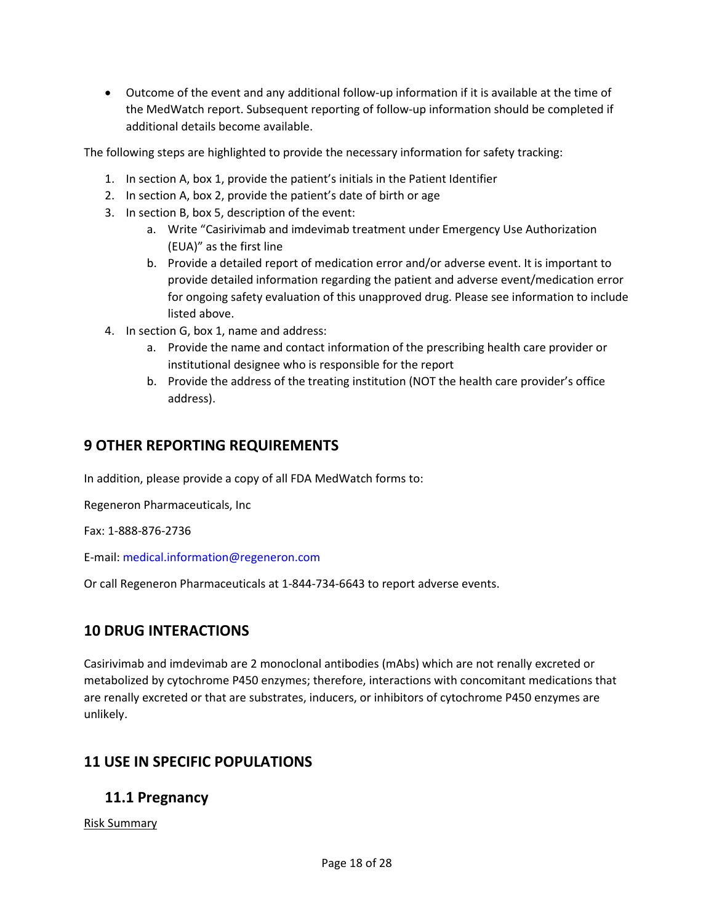• Outcome of the event and any additional follow-up information if it is available at the time of the MedWatch report. Subsequent reporting of follow-up information should be completed if additional details become available.

The following steps are highlighted to provide the necessary information for safety tracking:

- 1. In section A, box 1, provide the patient's initials in the Patient Identifier
- 2. In section A, box 2, provide the patient's date of birth or age
- 3. In section B, box 5, description of the event:
	- a. Write "Casirivimab and imdevimab treatment under Emergency Use Authorization (EUA)" as the first line
	- for ongoing safety evaluation of this unapproved drug. Please see information to include b. Provide a detailed report of medication error and/or adverse event. It is important to provide detailed information regarding the patient and adverse event/medication error listed above.
- 4. In section G, box 1, name and address:
	- institutional designee who is responsible for the report a. Provide the name and contact information of the prescribing health care provider or
	- b. Provide the address of the treating institution (NOT the health care provider's office address).

## <span id="page-17-0"></span>**9 OTHER REPORTING REQUIREMENTS**

In addition, please provide a copy of all FDA MedWatch forms to:

Regeneron Pharmaceuticals, Inc

Fax: 1-888-876-2736

E-mail: [medical.information@regeneron.com](mailto:medical.information@regeneron.com) 

Or call Regeneron Pharmaceuticals at 1-844-734-6643 to report adverse events.

## <span id="page-17-1"></span>**10 DRUG INTERACTIONS**

 are renally excreted or that are substrates, inducers, or inhibitors of cytochrome P450 enzymes are unlikely. Casirivimab and imdevimab are 2 monoclonal antibodies (mAbs) which are not renally excreted or metabolized by cytochrome P450 enzymes; therefore, interactions with concomitant medications that

# <span id="page-17-2"></span> **11 USE IN SPECIFIC POPULATIONS 11.1 Pregnancy**

<span id="page-17-3"></span>Risk Summary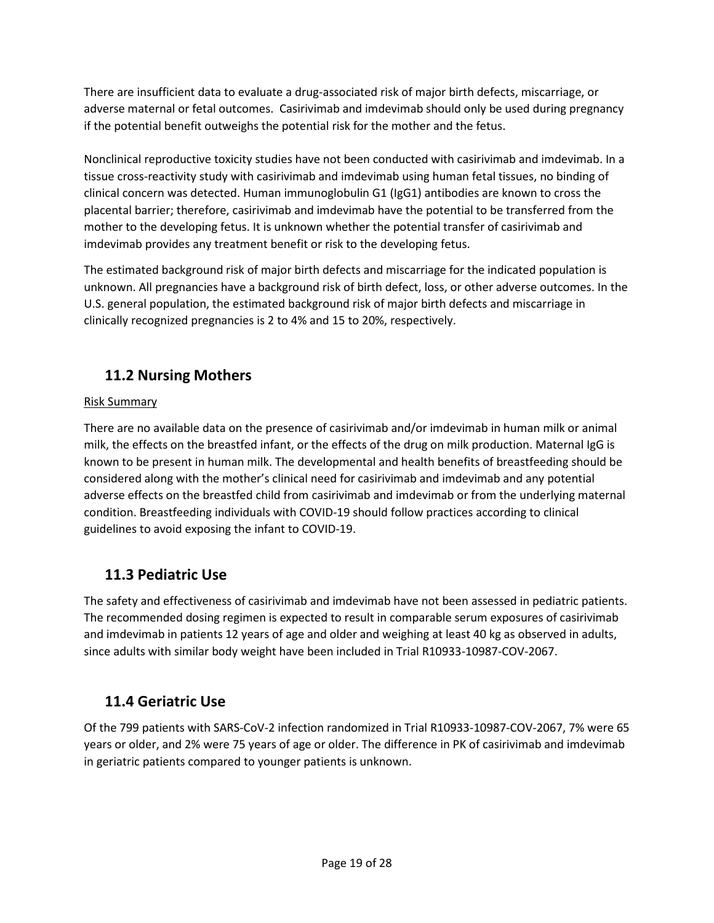adverse maternal or fetal outcomes. Casirivimab and imdevimab should only be used during pregnancy There are insufficient data to evaluate a drug-associated risk of major birth defects, miscarriage, or if the potential benefit outweighs the potential risk for the mother and the fetus.

 clinical concern was detected. Human immunoglobulin G1 (IgG1) antibodies are known to cross the mother to the developing fetus. It is unknown whether the potential transfer of casirivimab and imdevimab provides any treatment benefit or risk to the developing fetus. Nonclinical reproductive toxicity studies have not been conducted with casirivimab and imdevimab. In a tissue cross-reactivity study with casirivimab and imdevimab using human fetal tissues, no binding of placental barrier; therefore, casirivimab and imdevimab have the potential to be transferred from the

 unknown. All pregnancies have a background risk of birth defect, loss, or other adverse outcomes. In the clinically recognized pregnancies is 2 to 4% and 15 to 20%, respectively. The estimated background risk of major birth defects and miscarriage for the indicated population is U.S. general population, the estimated background risk of major birth defects and miscarriage in

## <span id="page-18-0"></span>**11.2 Nursing Mothers**

## Risk Summary

 milk, the effects on the breastfed infant, or the effects of the drug on milk production. Maternal IgG is considered along with the mother's clinical need for casirivimab and imdevimab and any potential adverse effects on the breastfed child from casirivimab and imdevimab or from the underlying maternal guidelines to avoid exposing the infant to COVID-19. There are no available data on the presence of casirivimab and/or imdevimab in human milk or animal known to be present in human milk. The developmental and health benefits of breastfeeding should be condition. Breastfeeding individuals with COVID-19 should follow practices according to clinical

## <span id="page-18-1"></span>**11.3 Pediatric Use**

 and imdevimab in patients 12 years of age and older and weighing at least 40 kg as observed in adults, The safety and effectiveness of casirivimab and imdevimab have not been assessed in pediatric patients. The recommended dosing regimen is expected to result in comparable serum exposures of casirivimab since adults with similar body weight have been included in Trial R10933-10987-COV-2067.

## <span id="page-18-2"></span>**11.4 Geriatric Use**

 years or older, and 2% were 75 years of age or older. The difference in PK of casirivimab and imdevimab Of the 799 patients with SARS-CoV-2 infection randomized in Trial R10933-10987-COV-2067, 7% were 65 in geriatric patients compared to younger patients is unknown.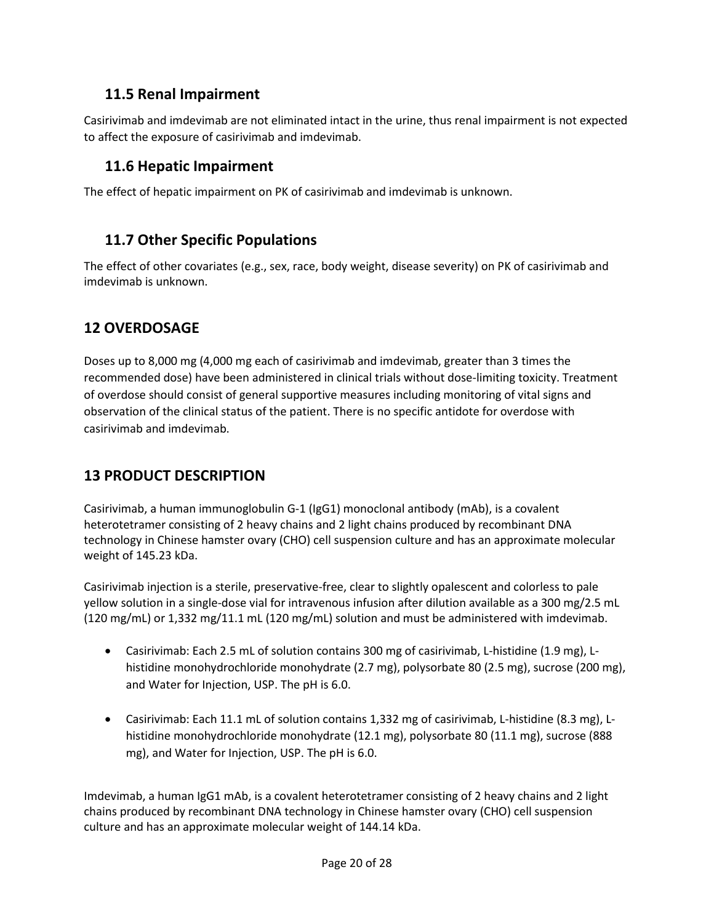## <span id="page-19-0"></span>**11.5 Renal Impairment**

 Casirivimab and imdevimab are not eliminated intact in the urine, thus renal impairment is not expected to affect the exposure of casirivimab and imdevimab.

## <span id="page-19-1"></span>**11.6 Hepatic Impairment**

The effect of hepatic impairment on PK of casirivimab and imdevimab is unknown.

## <span id="page-19-2"></span>**11.7 Other Specific Populations**

 The effect of other covariates (e.g., sex, race, body weight, disease severity) on PK of casirivimab and imdevimab is unknown.

## <span id="page-19-3"></span>**12 OVERDOSAGE**

 Doses up to 8,000 mg (4,000 mg each of casirivimab and imdevimab, greater than 3 times the observation of the clinical status of the patient. There is no specific antidote for overdose with recommended dose) have been administered in clinical trials without dose-limiting toxicity. Treatment of overdose should consist of general supportive measures including monitoring of vital signs and casirivimab and imdevimab.

## <span id="page-19-4"></span>**13 PRODUCT DESCRIPTION**

 heterotetramer consisting of 2 heavy chains and 2 light chains produced by recombinant DNA technology in Chinese hamster ovary (CHO) cell suspension culture and has an approximate molecular Casirivimab, a human immunoglobulin G-1 (IgG1) monoclonal antibody (mAb), is a covalent weight of 145.23 kDa.

 yellow solution in a single-dose vial for intravenous infusion after dilution available as a 300 mg/2.5 mL (120 mg/mL) or 1,332 mg/11.1 mL (120 mg/mL) solution and must be administered with imdevimab. Casirivimab injection is a sterile, preservative-free, clear to slightly opalescent and colorless to pale

- • Casirivimab: Each 2.5 mL of solution contains 300 mg of casirivimab, L-histidine (1.9 mg), L- histidine monohydrochloride monohydrate (2.7 mg), polysorbate 80 (2.5 mg), sucrose (200 mg), and Water for Injection, USP. The pH is 6.0.
- • Casirivimab: Each 11.1 mL of solution contains 1,332 mg of casirivimab, L-histidine (8.3 mg), L- histidine monohydrochloride monohydrate (12.1 mg), polysorbate 80 (11.1 mg), sucrose (888 mg), and Water for Injection, USP. The pH is 6.0.

 Imdevimab, a human IgG1 mAb, is a covalent heterotetramer consisting of 2 heavy chains and 2 light chains produced by recombinant DNA technology in Chinese hamster ovary (CHO) cell suspension culture and has an approximate molecular weight of 144.14 kDa.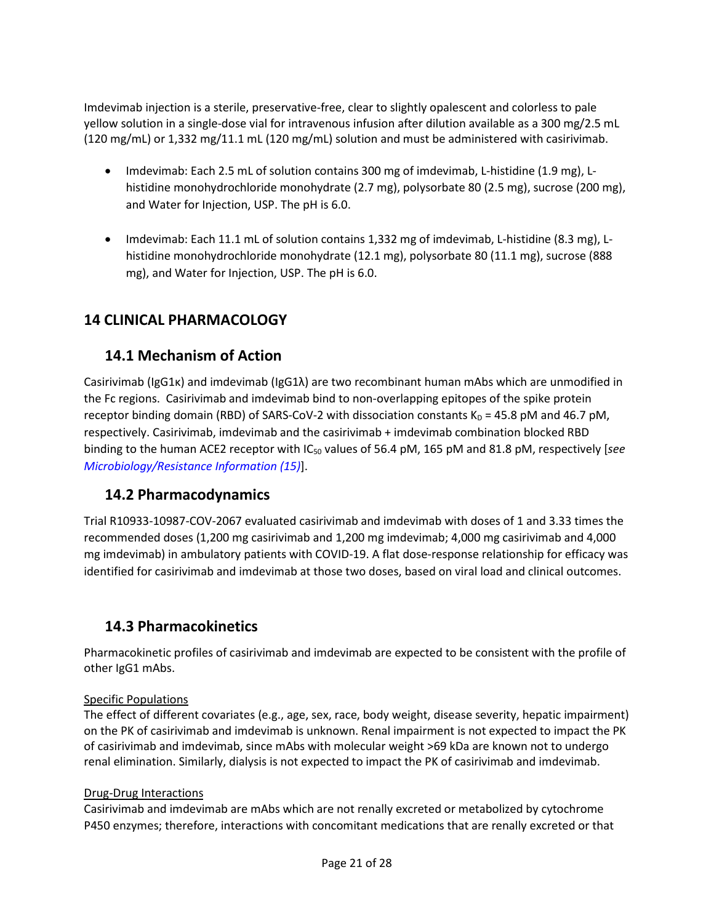yellow solution in a single-dose vial for intravenous infusion after dilution available as a 300 mg/2.5 mL (120 mg/mL) or 1,332 mg/11.1 mL (120 mg/mL) solution and must be administered with casirivimab. Imdevimab injection is a sterile, preservative-free, clear to slightly opalescent and colorless to pale

- • Imdevimab: Each 2.5 mL of solution contains 300 mg of imdevimab, L-histidine (1.9 mg), L- histidine monohydrochloride monohydrate (2.7 mg), polysorbate 80 (2.5 mg), sucrose (200 mg), and Water for Injection, USP. The pH is 6.0.
- • Imdevimab: Each 11.1 mL of solution contains 1,332 mg of imdevimab, L-histidine (8.3 mg), L- histidine monohydrochloride monohydrate (12.1 mg), polysorbate 80 (11.1 mg), sucrose (888 mg), and Water for Injection, USP. The pH is 6.0.

## <span id="page-20-0"></span>**14 CLINICAL PHARMACOLOGY**

## <span id="page-20-1"></span>**14.1 Mechanism of Action**

 Casirivimab (IgG1κ) and imdevimab (IgG1λ) are two recombinant human mAbs which are unmodified in the Fc regions. Casirivimab and imdevimab bind to non-overlapping epitopes of the spike protein receptor binding domain (RBD) of SARS-CoV-2 with dissociation constants  $K_D = 45.8$  pM and 46.7 pM, respectively. Casirivimab, imdevimab and the casirivimab + imdevimab combination blocked RBD binding to the human ACE2 receptor with IC<sub>50</sub> values of 56.4 pM, 165 pM and 81.8 pM, respectively [*see [Microbiology/Resistance Information \(15\)](#page-21-0)*].

## <span id="page-20-2"></span>**14.2 Pharmacodynamics**

 recommended doses (1,200 mg casirivimab and 1,200 mg imdevimab; 4,000 mg casirivimab and 4,000 mg imdevimab) in ambulatory patients with COVID-19. A flat dose-response relationship for efficacy was identified for casirivimab and imdevimab at those two doses, based on viral load and clinical outcomes. Trial R10933-10987-COV-2067 evaluated casirivimab and imdevimab with doses of 1 and 3.33 times the

## <span id="page-20-3"></span>**14.3 Pharmacokinetics**

Pharmacokinetic profiles of casirivimab and imdevimab are expected to be consistent with the profile of other IgG1 mAbs.

## Specific Populations

 The effect of different covariates (e.g., age, sex, race, body weight, disease severity, hepatic impairment) of casirivimab and imdevimab, since mAbs with molecular weight >69 kDa are known not to undergo renal elimination. Similarly, dialysis is not expected to impact the PK of casirivimab and imdevimab. on the PK of casirivimab and imdevimab is unknown. Renal impairment is not expected to impact the PK

#### Drug-Drug Interactions

 Casirivimab and imdevimab are mAbs which are not renally excreted or metabolized by cytochrome P450 enzymes; therefore, interactions with concomitant medications that are renally excreted or that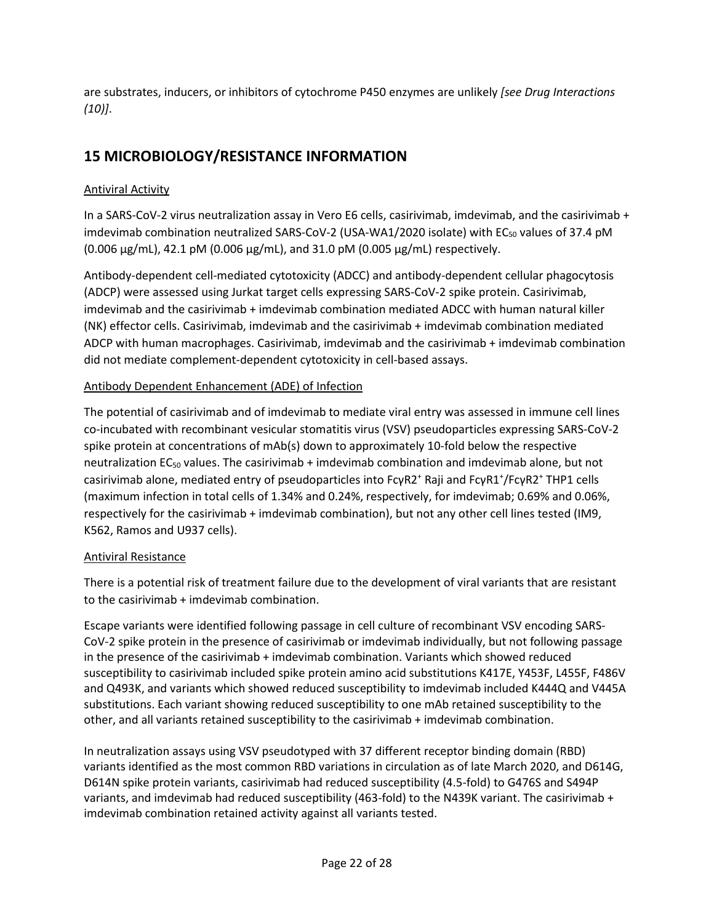are substrates, inducers, or inhibitors of cytochrome P450 enzymes are unlikely *[see Drug Interactions (10)]*.

## <span id="page-21-0"></span>**15 MICROBIOLOGY/RESISTANCE INFORMATION**

### Antiviral Activity

imdevimab combination neutralized SARS-CoV-2 (USA-WA1/2020 isolate) with EC $_{50}$  values of 37.4 pM (0.006 μg/mL), 42.1 pM (0.006 μg/mL), and 31.0 pM (0.005 μg/mL) respectively. In a SARS-CoV-2 virus neutralization assay in Vero E6 cells, casirivimab, imdevimab, and the casirivimab +

 (NK) effector cells. Casirivimab, imdevimab and the casirivimab + imdevimab combination mediated Antibody-dependent cell-mediated cytotoxicity (ADCC) and antibody-dependent cellular phagocytosis (ADCP) were assessed using Jurkat target cells expressing SARS-CoV-2 spike protein. Casirivimab, imdevimab and the casirivimab + imdevimab combination mediated ADCC with human natural killer ADCP with human macrophages. Casirivimab, imdevimab and the casirivimab + imdevimab combination did not mediate complement-dependent cytotoxicity in cell-based assays.

#### Antibody Dependent Enhancement (ADE) of Infection

 The potential of casirivimab and of imdevimab to mediate viral entry was assessed in immune cell lines spike protein at concentrations of mAb(s) down to approximately 10-fold below the respective (maximum infection in total cells of 1.34% and 0.24%, respectively, for imdevimab; 0.69% and 0.06%, respectively for the casirivimab + imdevimab combination), but not any other cell lines tested (IM9, K562, Ramos and U937 cells).<br><u>Antiviral Resistance</u> co-incubated with recombinant vesicular stomatitis virus (VSV) pseudoparticles expressing SARS-CoV-2 neutralization  $EC_{50}$  values. The casirivimab + imdevimab combination and imdevimab alone, but not casirivimab alone, mediated entry of pseudoparticles into FcγR2<sup>+</sup>Raji and FcγR1<sup>+</sup> /FcγR2+ THP1 cells

 There is a potential risk of treatment failure due to the development of viral variants that are resistant to the casirivimab + imdevimab combination.

 CoV-2 spike protein in the presence of casirivimab or imdevimab individually, but not following passage susceptibility to casirivimab included spike protein amino acid substitutions K417E, Y453F, L455F, F486V and Q493K, and variants which showed reduced susceptibility to imdevimab included K444Q and V445A substitutions. Each variant showing reduced susceptibility to one mAb retained susceptibility to the Escape variants were identified following passage in cell culture of recombinant VSV encoding SARSin the presence of the casirivimab + imdevimab combination. Variants which showed reduced other, and all variants retained susceptibility to the casirivimab + imdevimab combination.

 variants identified as the most common RBD variations in circulation as of late March 2020, and D614G, In neutralization assays using VSV pseudotyped with 37 different receptor binding domain (RBD) D614N spike protein variants, casirivimab had reduced susceptibility (4.5-fold) to G476S and S494P variants, and imdevimab had reduced susceptibility (463-fold) to the N439K variant. The casirivimab + imdevimab combination retained activity against all variants tested.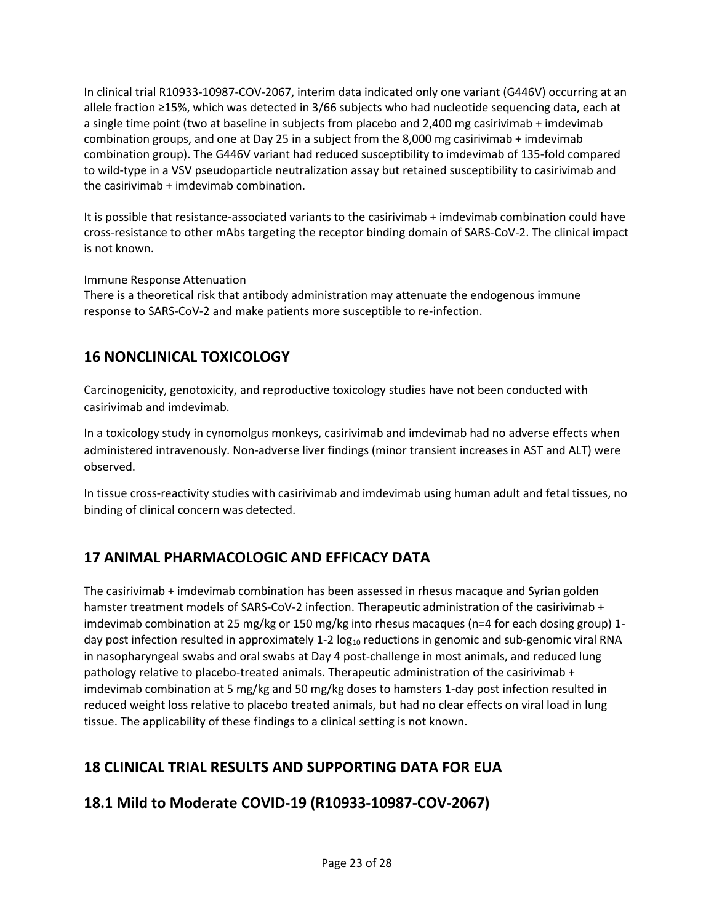In clinical trial R10933-10987-COV-2067, interim data indicated only one variant (G446V) occurring at an allele fraction ≥15%, which was detected in 3/66 subjects who had nucleotide sequencing data, each at a single time point (two at baseline in subjects from placebo and 2,400 mg casirivimab + imdevimab combination groups, and one at Day 25 in a subject from the 8,000 mg casirivimab + imdevimab combination group). The G446V variant had reduced susceptibility to imdevimab of 135-fold compared to wild-type in a VSV pseudoparticle neutralization assay but retained susceptibility to casirivimab and the casirivimab + imdevimab combination.

It is possible that resistance-associated variants to the casirivimab + imdevimab combination could have cross-resistance to other mAbs targeting the receptor binding domain of SARS-CoV-2. The clinical impact is not known.

#### Immune Response Attenuation

<span id="page-22-0"></span>There is a theoretical risk that antibody administration may attenuate the endogenous immune response to SARS-CoV-2 and make patients more susceptible to re-infection.

## **16 NONCLINICAL TOXICOLOGY**

 Carcinogenicity, genotoxicity, and reproductive toxicology studies have not been conducted with casirivimab and imdevimab.

 In a toxicology study in cynomolgus monkeys, casirivimab and imdevimab had no adverse effects when administered intravenously. Non-adverse liver findings (minor transient increases in AST and ALT) were observed.

In tissue cross-reactivity studies with casirivimab and imdevimab using human adult and fetal tissues, no binding of clinical concern was detected.

## <span id="page-22-1"></span>**17 ANIMAL PHARMACOLOGIC AND EFFICACY DATA**

 The casirivimab + imdevimab combination has been assessed in rhesus macaque and Syrian golden day post infection resulted in approximately 1-2 log<sub>10</sub> reductions in genomic and sub-genomic viral RNA pathology relative to placebo-treated animals. Therapeutic administration of the casirivimab + imdevimab combination at 5 mg/kg and 50 mg/kg doses to hamsters 1-day post infection resulted in hamster treatment models of SARS-CoV-2 infection. Therapeutic administration of the casirivimab + imdevimab combination at 25 mg/kg or 150 mg/kg into rhesus macaques (n=4 for each dosing group) 1 in nasopharyngeal swabs and oral swabs at Day 4 post-challenge in most animals, and reduced lung reduced weight loss relative to placebo treated animals, but had no clear effects on viral load in lung tissue. The applicability of these findings to a clinical setting is not known.

## **18 CLINICAL TRIAL RESULTS AND SUPPORTING DATA FOR EUA**

## <span id="page-22-2"></span>**18.1 Mild to Moderate COVID-19 (R10933-10987-COV-2067)**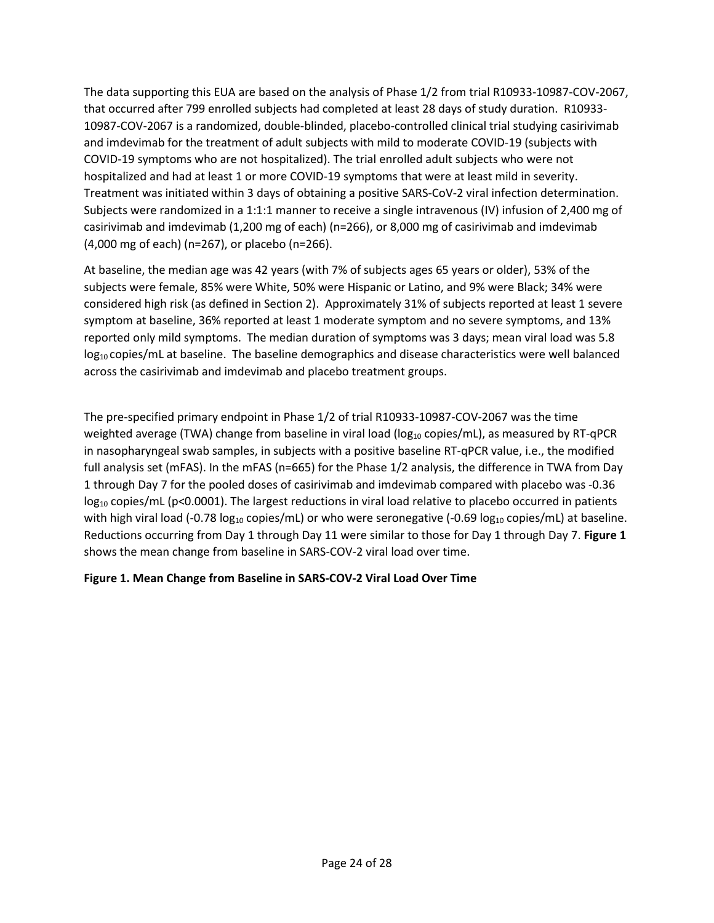The data supporting this EUA are based on the analysis of Phase 1/2 from trial R10933-10987-COV-2067, that occurred after 799 enrolled subjects had completed at least 28 days of study duration. R10933- and imdevimab for the treatment of adult subjects with mild to moderate COVID-19 (subjects with Treatment was initiated within 3 days of obtaining a positive SARS-CoV-2 viral infection determination. Subjects were randomized in a 1:1:1 manner to receive a single intravenous (IV) infusion of 2,400 mg of casirivimab and imdevimab (1,200 mg of each) (n=266), or 8,000 mg of casirivimab and imdevimab (4,000 mg of each) (n=267), or placebo (n=266). 10987-COV-2067 is a randomized, double-blinded, placebo-controlled clinical trial studying casirivimab COVID-19 symptoms who are not hospitalized). The trial enrolled adult subjects who were not hospitalized and had at least 1 or more COVID-19 symptoms that were at least mild in severity.

 At baseline, the median age was 42 years (with 7% of subjects ages 65 years or older), 53% of the subjects were female, 85% were White, 50% were Hispanic or Latino, and 9% were Black; 34% were across the casirivimab and imdevimab and placebo treatment groups. considered high risk (as defined in Section 2). Approximately 31% of subjects reported at least 1 severe symptom at baseline, 36% reported at least 1 moderate symptom and no severe symptoms, and 13% reported only mild symptoms. The median duration of symptoms was 3 days; mean viral load was 5.8  $log_{10}$  copies/mL at baseline. The baseline demographics and disease characteristics were well balanced

 full analysis set (mFAS). In the mFAS (n=665) for the Phase 1/2 analysis, the difference in TWA from Day 1 through Day 7 for the pooled doses of casirivimab and imdevimab compared with placebo was -0.36  $log_{10}$  copies/mL (p<0.0001). The largest reductions in viral load relative to placebo occurred in patients Reductions occurring from Day 1 through Day 11 were similar to those for Day 1 through Day 7. **Figure 1**  The pre-specified primary endpoint in Phase 1/2 of trial R10933-10987-COV-2067 was the time weighted average (TWA) change from baseline in viral load ( $log_{10}$  copies/mL), as measured by RT-qPCR in nasopharyngeal swab samples, in subjects with a positive baseline RT-qPCR value, i.e., the modified with high viral load (-0.78  $log_{10}$  copies/mL) or who were seronegative (-0.69  $log_{10}$  copies/mL) at baseline. shows the mean change from baseline in SARS-COV-2 viral load over time.

#### **Figure 1. Mean Change from Baseline in SARS-COV-2 Viral Load Over Time**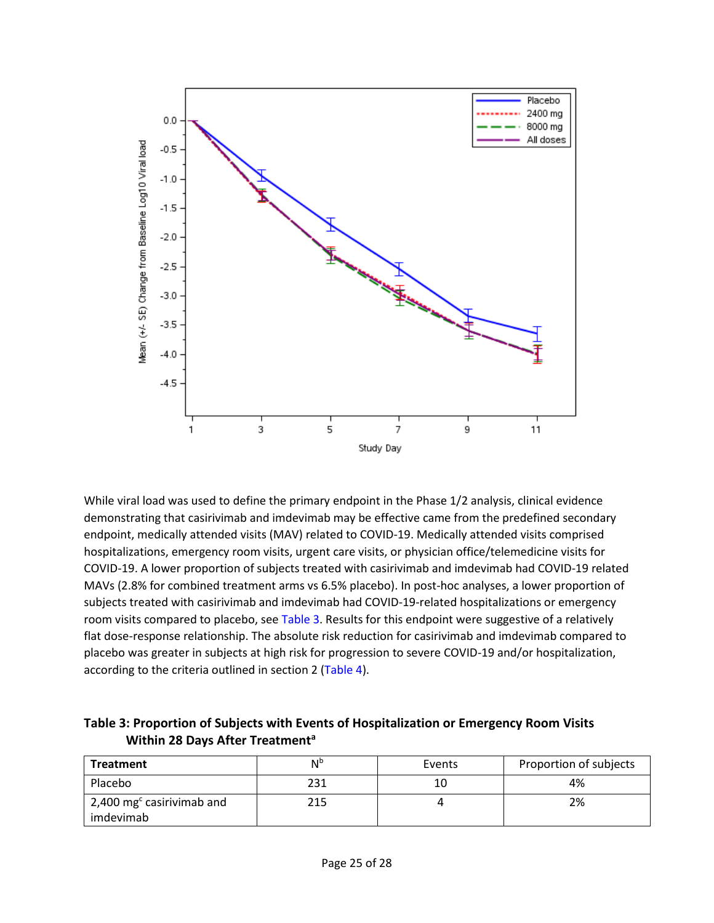

 hospitalizations, emergency room visits, urgent care visits, or physician office/telemedicine visits for While viral load was used to define the primary endpoint in the Phase 1/2 analysis, clinical evidence demonstrating that casirivimab and imdevimab may be effective came from the predefined secondary endpoint, medically attended visits (MAV) related to COVID-19. Medically attended visits comprised COVID-19. A lower proportion of subjects treated with casirivimab and imdevimab had COVID-19 related MAVs (2.8% for combined treatment arms vs 6.5% placebo). In post-hoc analyses, a lower proportion of subjects treated with casirivimab and imdevimab had COVID-19-related hospitalizations or emergency room visits compared to placebo, se[e Table 3.](#page-24-0) Results for this endpoint were suggestive of a relatively flat dose-response relationship. The absolute risk reduction for casirivimab and imdevimab compared to placebo was greater in subjects at high risk for progression to severe COVID-19 and/or hospitalization, according to the criteria outlined in section 2 [\(Table 4\)](#page-25-1).

<span id="page-24-0"></span>

| Table 3: Proportion of Subjects with Events of Hospitalization or Emergency Room Visits |  |
|-----------------------------------------------------------------------------------------|--|
| Within 28 Days After Treatment <sup>a</sup>                                             |  |

| <b>Treatment</b>                                         | Ν <sup>b</sup><br>Events |    | Proportion of subjects |  |
|----------------------------------------------------------|--------------------------|----|------------------------|--|
| Placebo                                                  | 231                      | 10 | 4%                     |  |
| $\pm$ 2,400 mg <sup>c</sup> casirivimab and<br>imdevimab | 215                      |    | 2%                     |  |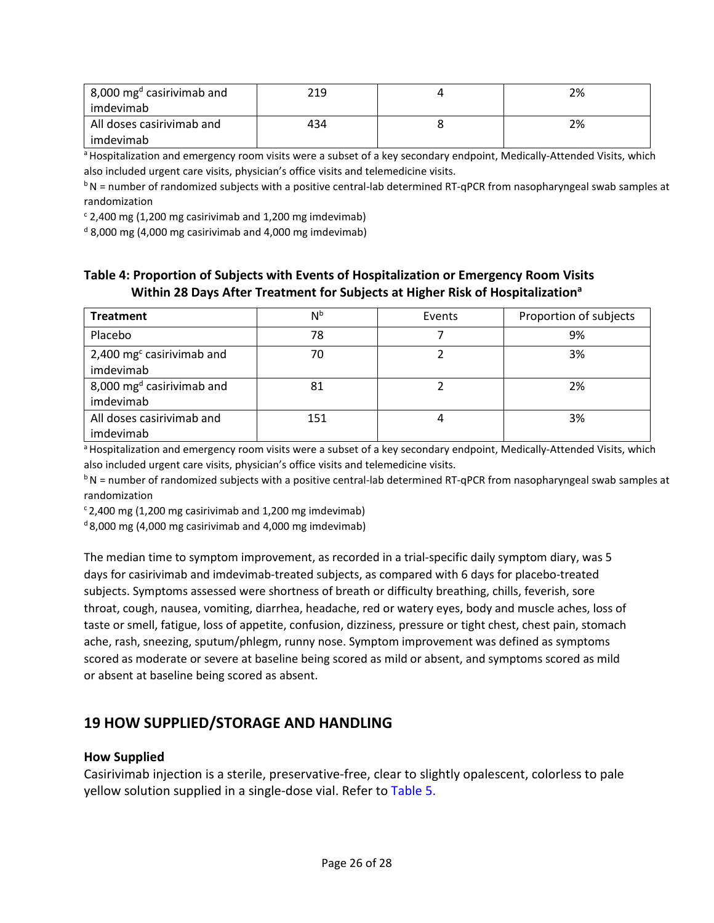| $\vert$ 8,000 mg <sup>d</sup> casirivimab and | 219 | 2% |
|-----------------------------------------------|-----|----|
| imdevimab                                     |     |    |
| All doses casirivimab and                     | 434 | 2% |
| imdevimab                                     |     |    |

a Hospitalization and emergency room visits were a subset of a key secondary endpoint, Medically-Attended Visits, which also included urgent care visits, physician's office visits and telemedicine visits.

 $b$ N = number of randomized subjects with a positive central-lab determined RT-qPCR from nasopharyngeal swab samples at randomization

 $c$  2,400 mg (1,200 mg casirivimab and 1,200 mg imdevimab)

 $d$  8,000 mg (4,000 mg casirivimab and 4,000 mg imdevimab)

## <span id="page-25-1"></span>**Table 4: Proportion of Subjects with Events of Hospitalization or Emergency Room Visits Within 28 Days After Treatment for Subjects at Higher Risk of Hospitalizationa**

| <b>Treatment</b>                         | N <sub>p</sub> | Events | Proportion of subjects |
|------------------------------------------|----------------|--------|------------------------|
| Placebo                                  | 78             |        | 9%                     |
| 2,400 $mgc$ casirivimab and<br>imdevimab | 70             |        | 3%                     |
| 8,000 $mgd$ casirivimab and<br>imdevimab | 81             |        | 2%                     |
| All doses casirivimab and<br>imdevimab   | 151            |        | 3%                     |

<sup>a</sup> Hospitalization and emergency room visits were a subset of a key secondary endpoint, Medically-Attended Visits, which also included urgent care visits, physician's office visits and telemedicine visits.

 $b$ N = number of randomized subjects with a positive central-lab determined RT-qPCR from nasopharyngeal swab samples at randomization

 $c$  2,400 mg (1,200 mg casirivimab and 1,200 mg imdevimab)

 $d$ 8,000 mg (4,000 mg casirivimab and 4,000 mg imdevimab)

<span id="page-25-0"></span> taste or smell, fatigue, loss of appetite, confusion, dizziness, pressure or tight chest, chest pain, stomach ache, rash, sneezing, sputum/phlegm, runny nose. Symptom improvement was defined as symptoms scored as moderate or severe at baseline being scored as mild or absent, and symptoms scored as mild The median time to symptom improvement, as recorded in a trial-specific daily symptom diary, was 5 days for casirivimab and imdevimab-treated subjects, as compared with 6 days for placebo-treated subjects. Symptoms assessed were shortness of breath or difficulty breathing, chills, feverish, sore throat, cough, nausea, vomiting, diarrhea, headache, red or watery eyes, body and muscle aches, loss of or absent at baseline being scored as absent.

## **19 HOW SUPPLIED/STORAGE AND HANDLING**

#### **How Supplied**

yellow solution supplied in a single-dose vial. Refer to [Table 5.](#page-26-1) Casirivimab injection is a sterile, preservative-free, clear to slightly opalescent, colorless to pale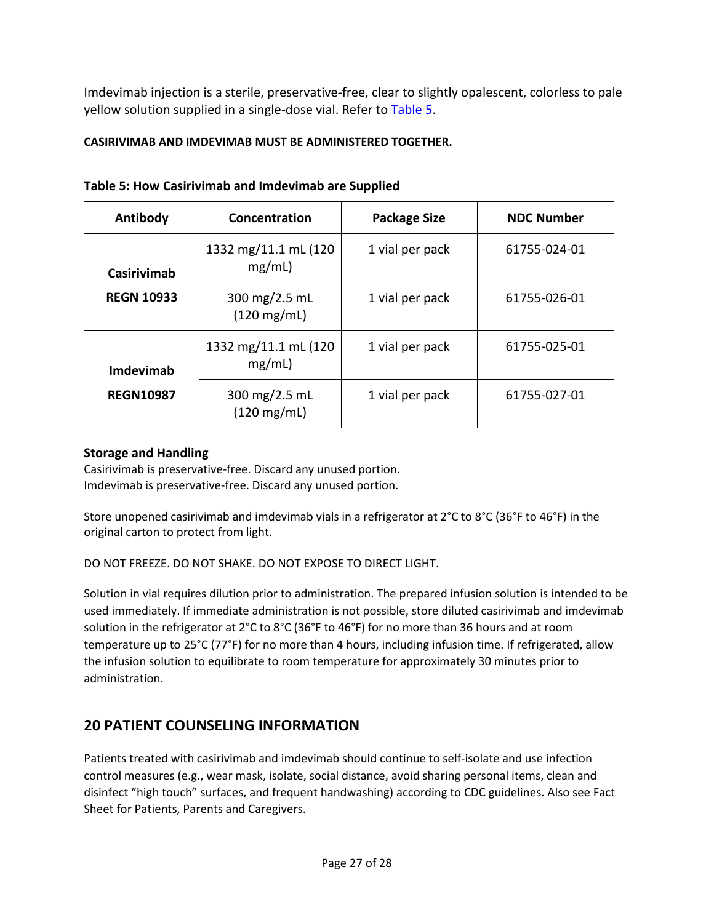Imdevimab injection is a sterile, preservative-free, clear to slightly opalescent, colorless to pale yellow solution supplied in a single-dose vial. Refer to [Table 5.](#page-26-1)

## **CASIRIVIMAB AND IMDEVIMAB MUST BE ADMINISTERED TOGETHER.**

| Antibody           | Concentration                          | <b>Package Size</b> | <b>NDC Number</b> |
|--------------------|----------------------------------------|---------------------|-------------------|
| <b>Casirivimab</b> | 1332 mg/11.1 mL (120<br>mg/mL)         | 1 vial per pack     | 61755-024-01      |
| <b>REGN 10933</b>  | 300 mg/2.5 mL<br>$(120 \text{ mg/mL})$ | 1 vial per pack     | 61755-026-01      |
| Imdevimab          | 1332 mg/11.1 mL (120<br>mg/mL)         | 1 vial per pack     | 61755-025-01      |
| <b>REGN10987</b>   | 300 mg/2.5 mL<br>$(120 \text{ mg/mL})$ | 1 vial per pack     | 61755-027-01      |

## <span id="page-26-1"></span> **Table 5: How Casirivimab and Imdevimab are Supplied**

## **Storage and Handling**

Casirivimab is preservative-free. Discard any unused portion. Imdevimab is preservative-free. Discard any unused portion.

 Store unopened casirivimab and imdevimab vials in a refrigerator at 2°C to 8°C (36°F to 46°F) in the original carton to protect from light.

DO NOT FREEZE. DO NOT SHAKE. DO NOT EXPOSE TO DIRECT LIGHT.

 solution in the refrigerator at 2°C to 8°C (36°F to 46°F) for no more than 36 hours and at room Solution in vial requires dilution prior to administration. The prepared infusion solution is intended to be used immediately. If immediate administration is not possible, store diluted casirivimab and imdevimab temperature up to 25°C (77°F) for no more than 4 hours, including infusion time. If refrigerated, allow the infusion solution to equilibrate to room temperature for approximately 30 minutes prior to administration.

## <span id="page-26-0"></span>**20 PATIENT COUNSELING INFORMATION**

 Patients treated with casirivimab and imdevimab should continue to self-isolate and use infection control measures (e.g., wear mask, isolate, social distance, avoid sharing personal items, clean and disinfect "high touch" surfaces, and frequent handwashing) according to CDC guidelines. Also see Fact Sheet for Patients, Parents and Caregivers.